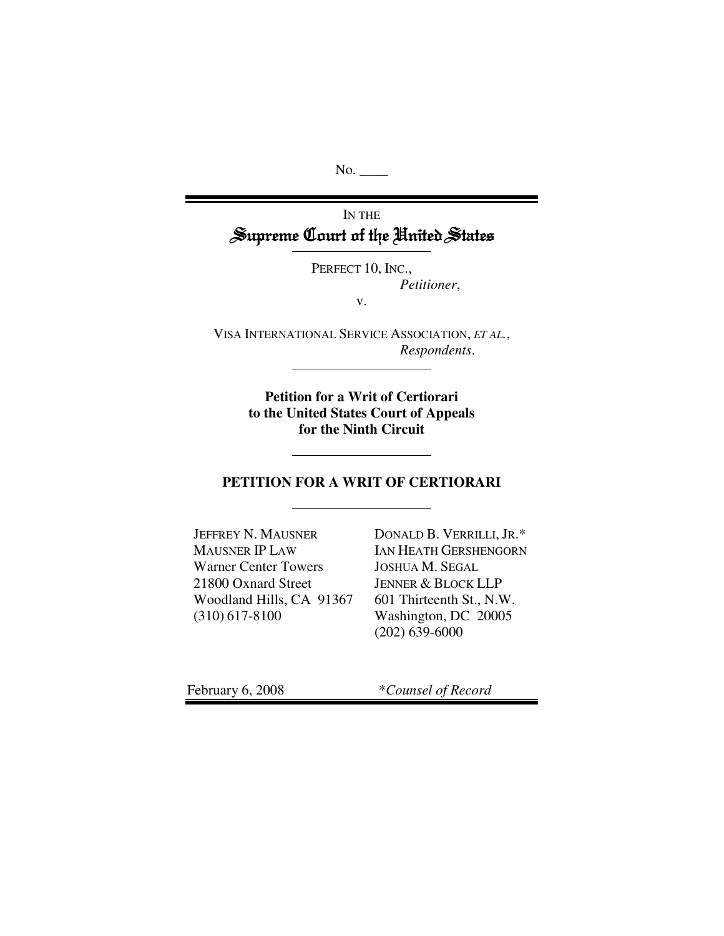No.

# IN THE Supreme Court of the United States

PERFECT 10, INC., *Petitioner*,

v.

VISA INTERNATIONAL SERVICE ASSOCIATION, *ET AL.*, *Respondents*.

> **Petition for a Writ of Certiorari to the United States Court of Appeals for the Ninth Circuit**

### **PETITION FOR A WRIT OF CERTIORARI**

JEFFREY N. MAUSNER MAUSNER IP LAW Warner Center Towers 21800 Oxnard Street Woodland Hills, CA 91367 (310) 617-8100

DONALD B. VERRILLI, JR.\* IAN HEATH GERSHENGORN JOSHUA M. SEGAL JENNER & BLOCK LLP 601 Thirteenth St., N.W. Washington, DC 20005 (202) 639-6000

February 6, 2008 \**Counsel of Record*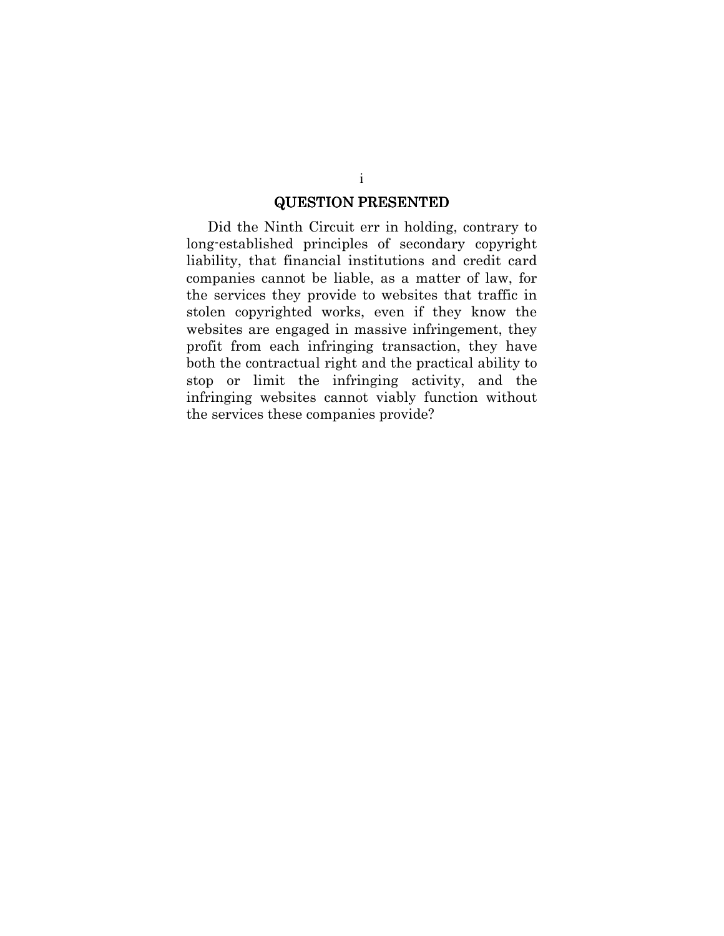#### **QUESTION PRESENTED**

Did the Ninth Circuit err in holding, contrary to long-established principles of secondary copyright liability, that financial institutions and credit card companies cannot be liable, as a matter of law, for the services they provide to websites that traffic in stolen copyrighted works, even if they know the websites are engaged in massive infringement, they profit from each infringing transaction, they have both the contractual right and the practical ability to stop or limit the infringing activity, and the infringing websites cannot viably function without the services these companies provide?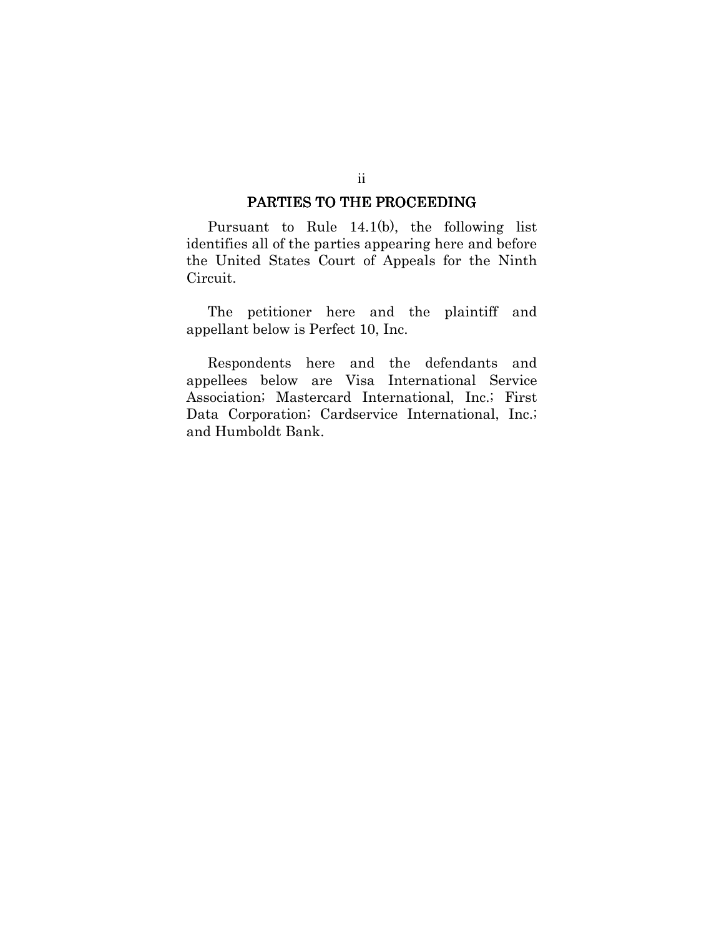#### PARTIES TO THE PROCEEDING

Pursuant to Rule  $14.1(b)$ , the following list identifies all of the parties appearing here and before the United States Court of Appeals for the Ninth Circuit.

The petitioner here and the plaintiff and appellant below is Perfect 10, Inc.

Respondents here and the defendants and appellees below are Visa International Service Association; Mastercard International, Inc.; First Data Corporation; Cardservice International, Inc.; and Humboldt Bank.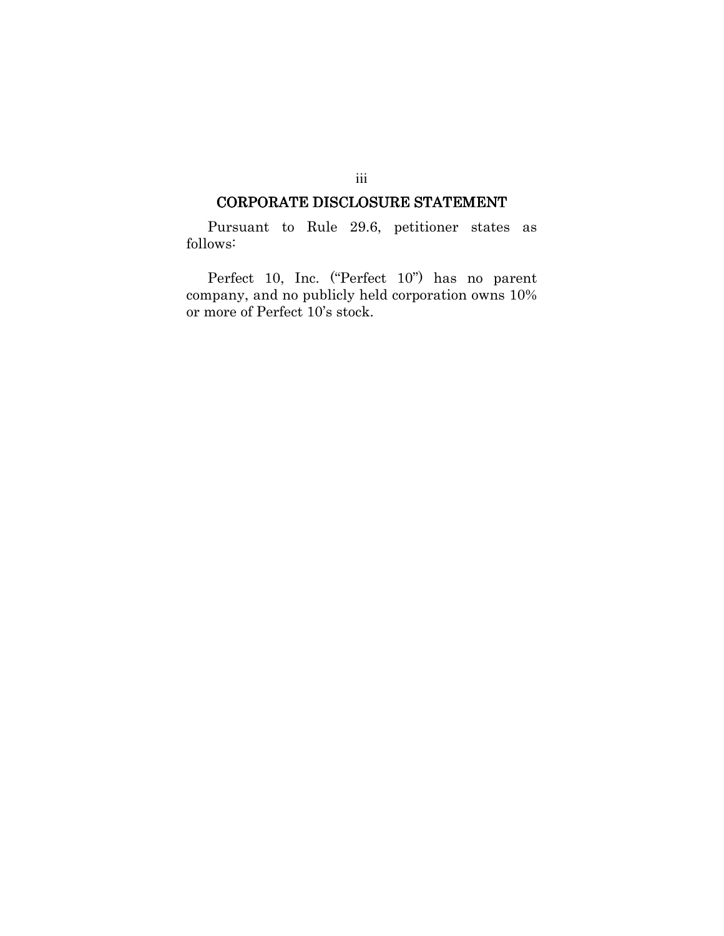### CORPORATE DISCLOSURE STATEMENT

Pursuant to Rule 29.6, petitioner states as follows:

Perfect 10, Inc. ("Perfect 10") has no parent company, and no publicly held corporation owns 10% or more of Perfect 10's stock.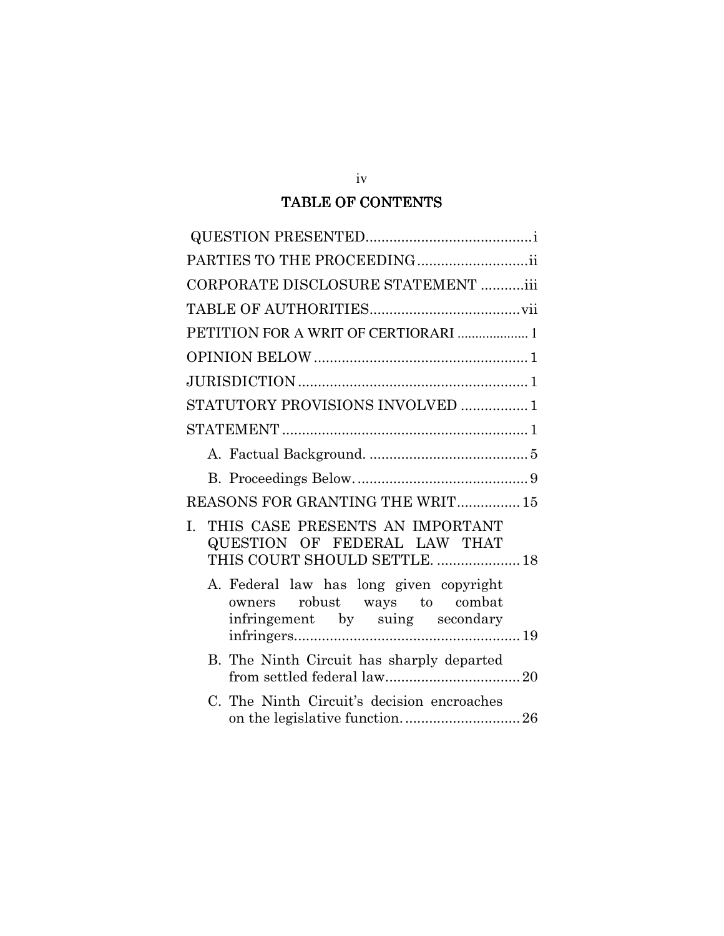## TABLE OF CONTENTS

| CORPORATE DISCLOSURE STATEMENT iii                                                                         |
|------------------------------------------------------------------------------------------------------------|
|                                                                                                            |
| PETITION FOR A WRIT OF CERTIORARI  1                                                                       |
|                                                                                                            |
|                                                                                                            |
| STATUTORY PROVISIONS INVOLVED 1                                                                            |
|                                                                                                            |
|                                                                                                            |
|                                                                                                            |
| REASONS FOR GRANTING THE WRIT 15                                                                           |
| THIS CASE PRESENTS AN IMPORTANT<br>L.<br>QUESTION OF FEDERAL LAW THAT<br>THIS COURT SHOULD SETTLE.  18     |
| A. Federal law has long given copyright<br>owners robust ways to combat<br>infringement by suing secondary |
| B. The Ninth Circuit has sharply departed                                                                  |
| C. The Ninth Circuit's decision encroaches                                                                 |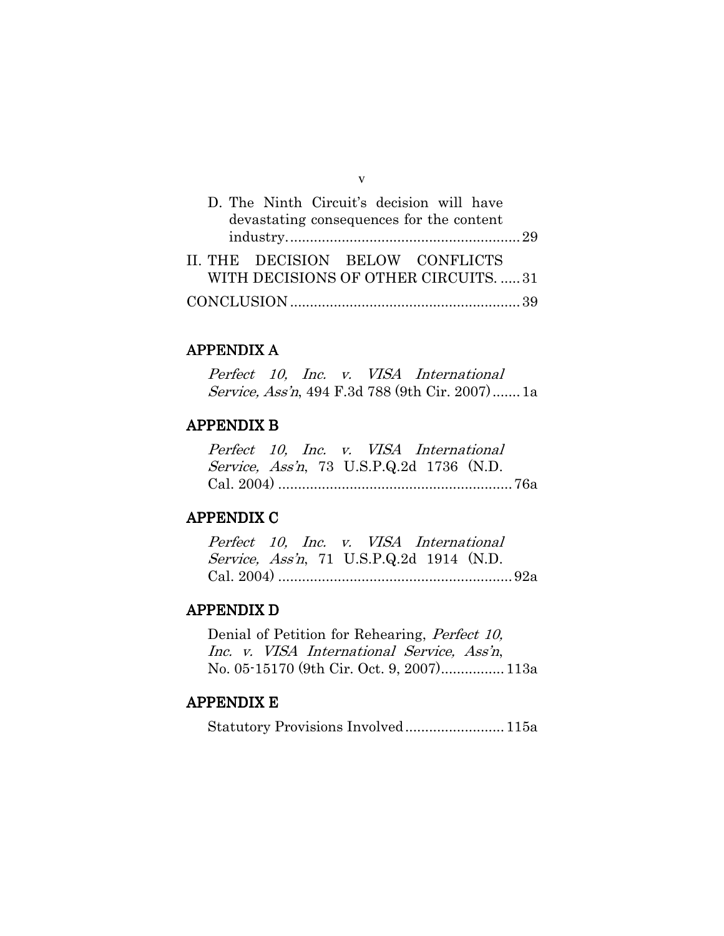| D. The Ninth Circuit's decision will have<br>devastating consequences for the content |  |
|---------------------------------------------------------------------------------------|--|
| II. THE DECISION BELOW CONFLICTS<br>WITH DECISIONS OF OTHER CIRCUITS31                |  |
|                                                                                       |  |

 $\overline{\mathbf{V}}$ 

### **APPENDIX A**

Perfect 10, Inc. v. VISA International Service, Ass'n, 494 F.3d 788 (9th Cir. 2007)....... 1a

## **APPENDIX B**

Perfect 10, Inc. v. VISA International Service, Ass'n, 73 U.S.P.Q.2d 1736 (N.D. 

### **APPENDIX C**

| Perfect 10, Inc. v. VISA International           |  |  |  |  |
|--------------------------------------------------|--|--|--|--|
| <i>Service, Ass'n</i> , 71 U.S.P.Q.2d 1914 (N.D. |  |  |  |  |
|                                                  |  |  |  |  |

### **APPENDIX D**

Denial of Petition for Rehearing, Perfect 10, Inc. v. VISA International Service, Ass'n, No. 05-15170 (9th Cir. Oct. 9, 2007)................. 113a

## **APPENDIX E**

Statutory Provisions Involved.......................... 115a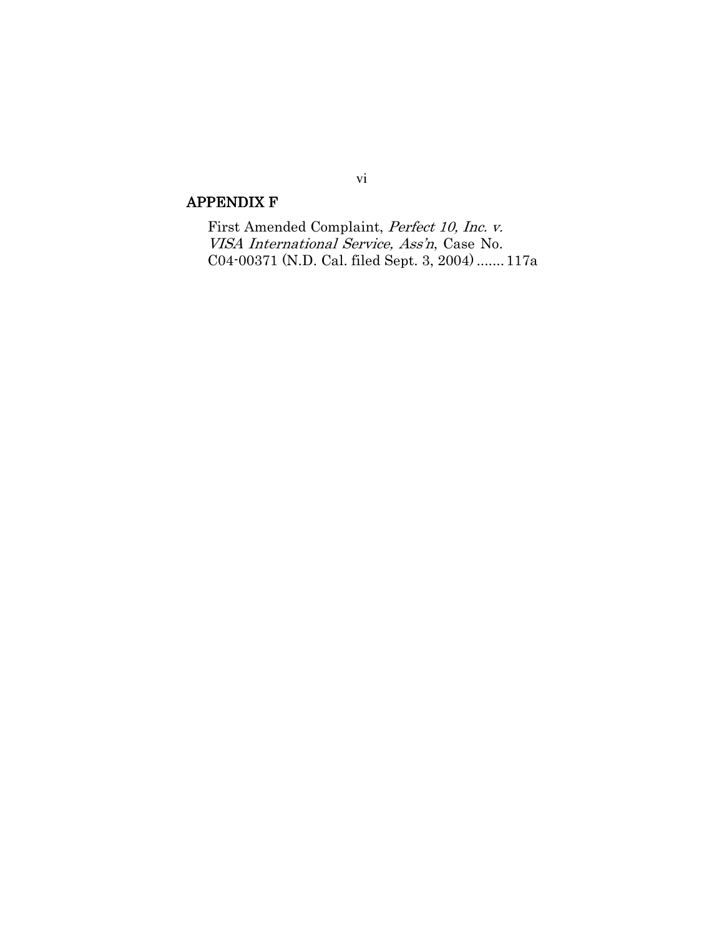## **APPENDIX F**

First Amended Complaint, Perfect 10, Inc. v. VISA International Service, Ass'n, Case No. C04-00371 (N.D. Cal. filed Sept. 3, 2004) ....... 117a

## vi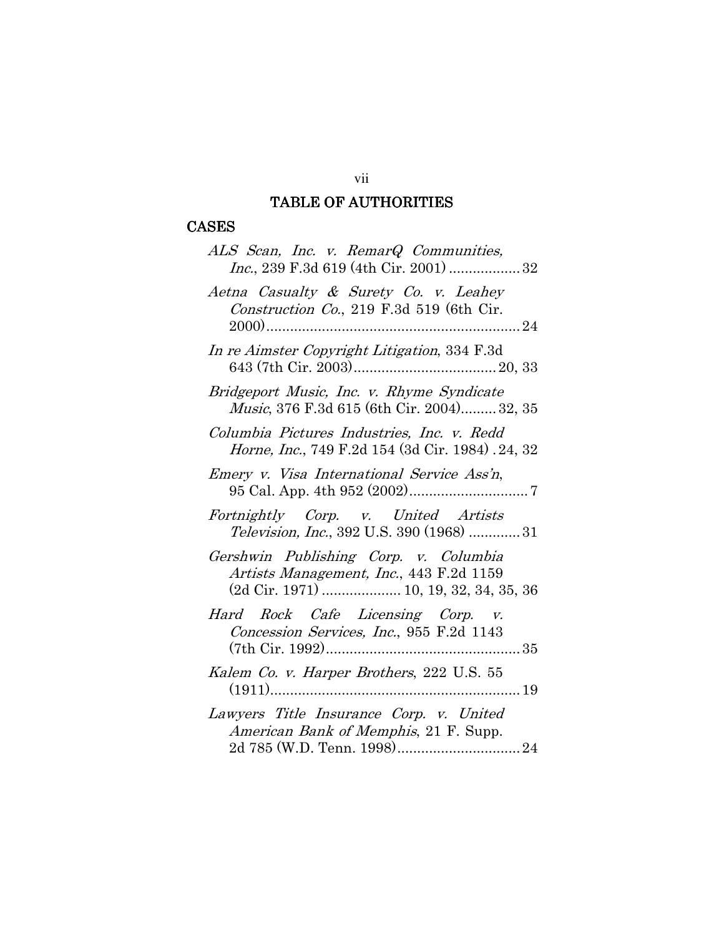## **TABLE OF AUTHORITIES**

# **CASES**

| ALS Scan, Inc. v. RemarQ Communities,                                                                                      |
|----------------------------------------------------------------------------------------------------------------------------|
| Aetna Casualty & Surety Co. v. Leahey<br><i>Construction Co.</i> , 219 F.3d 519 (6th Cir.                                  |
| In re Aimster Copyright Litigation, 334 F.3d                                                                               |
| Bridgeport Music, Inc. v. Rhyme Syndicate<br>Music, 376 F.3d 615 (6th Cir. 2004) 32, 35                                    |
| Columbia Pictures Industries, Inc. v. Redd<br><i>Horne, Inc.</i> , 749 F.2d 154 (3d Cir. 1984). 24, 32                     |
| Emery v. Visa International Service Ass'n,                                                                                 |
| Fortnightly Corp. v. United Artists<br><i>Television, Inc.</i> , 392 U.S. 390 (1968) 31                                    |
| Gershwin Publishing Corp. v. Columbia<br>Artists Management, Inc., 443 F.2d 1159<br>(2d Cir. 1971)  10, 19, 32, 34, 35, 36 |
| Hard Rock Cafe Licensing Corp. v.<br>Concession Services, Inc., 955 F.2d 1143                                              |
| Kalem Co. v. Harper Brothers, 222 U.S. 55                                                                                  |
| Lawyers Title Insurance Corp. v. United<br>American Bank of Memphis, 21 F. Supp.                                           |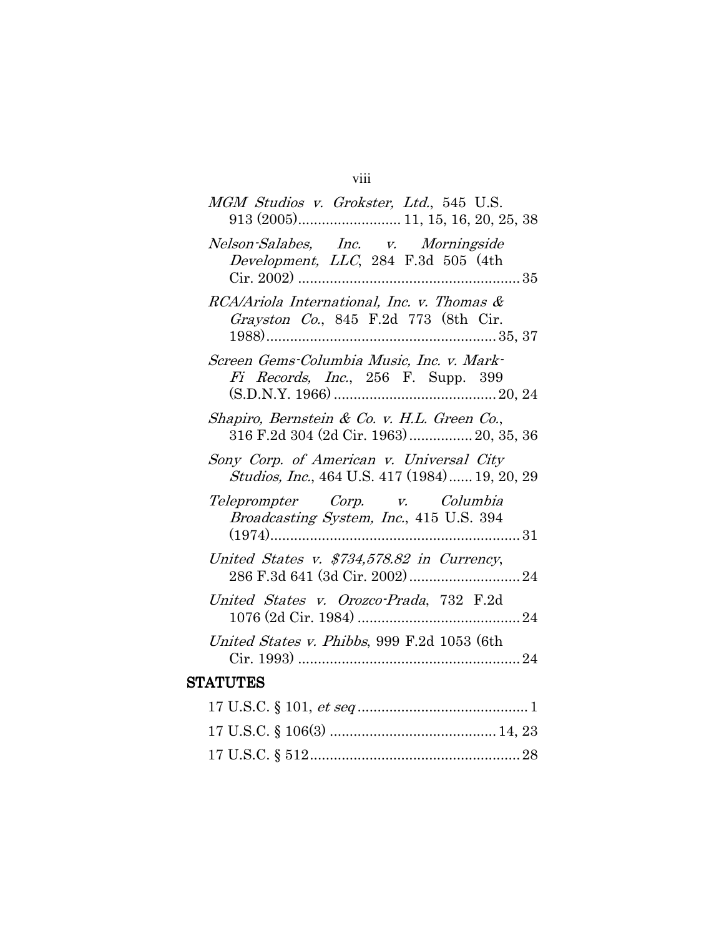# viii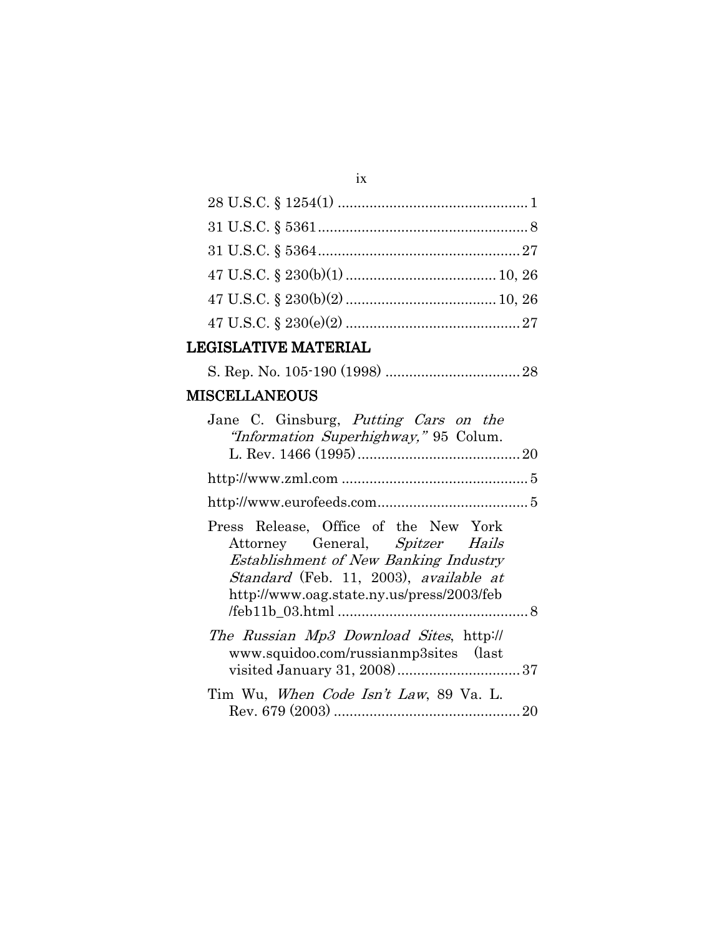# LEGISLATIVE MATERIAL

# **MISCELLANEOUS**

| Jane C. Ginsburg, <i>Putting Cars on the</i><br>"Information Superhighway," 95 Colum.                                                                                                                    |
|----------------------------------------------------------------------------------------------------------------------------------------------------------------------------------------------------------|
|                                                                                                                                                                                                          |
|                                                                                                                                                                                                          |
|                                                                                                                                                                                                          |
| Press Release, Office of the New York<br>Attorney General, Spitzer Hails<br>Establishment of New Banking Industry<br>Standard (Feb. 11, 2003), available at<br>http://www.oag.state.ny.us/press/2003/feb |
|                                                                                                                                                                                                          |
| The Russian Mp3 Download Sites, http://<br>www.squidoo.com/russianmp3sites (last                                                                                                                         |
| Tim Wu, <i>When Code Isn't Law</i> , 89 Va. L.                                                                                                                                                           |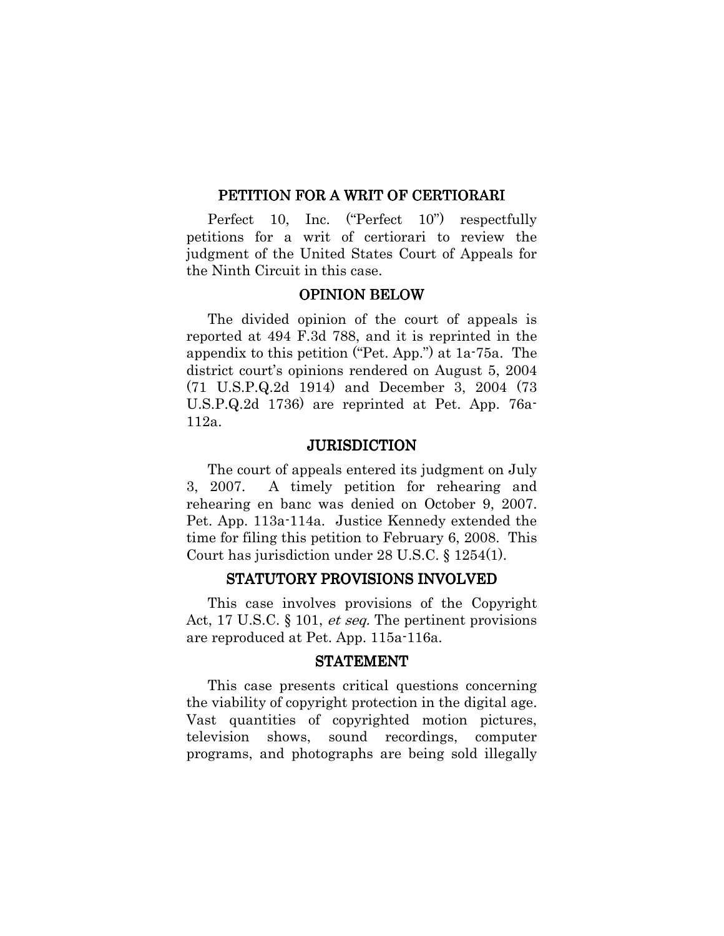#### PETITION FOR A WRIT OF CERTIORARI

Perfect 10, Inc. ("Perfect  $10$ ") respectfully petitions for a writ of certiorari to review the judgment of the United States Court of Appeals for the Ninth Circuit in this case.

## **OPINION BELOW**

The divided opinion of the court of appeals is reported at 494 F.3d 788, and it is reprinted in the appendix to this petition ("Pet. App.") at 1a-75a. The district court's opinions rendered on August 5, 2004  $(71 \text{ U.S.P.Q.2d } 1914)$  and December 3, 2004  $(73 \text{ V.S.P.Q.2d } 1914)$  $U.S.P.Q.2d$  1736) are reprinted at Pet. App. 76a- $112a.$ 

#### **JURISDICTION**

The court of appeals entered its judgment on July A timely petition for rehearing and 3, 2007. rehearing en banc was denied on October 9, 2007. Pet. App. 113a-114a. Justice Kennedy extended the time for filing this petition to February 6, 2008. This Court has jurisdiction under 28 U.S.C.  $\S 1254(1)$ .

#### STATUTORY PROVISIONS INVOLVED

This case involves provisions of the Copyright Act, 17 U.S.C.  $\S$  101, *et seq.* The pertinent provisions are reproduced at Pet. App. 115a-116a.

#### **STATEMENT**

This case presents critical questions concerning the viability of copyright protection in the digital age. Vast quantities of copyrighted motion pictures, shows, sound recordings, television computer programs, and photographs are being sold illegally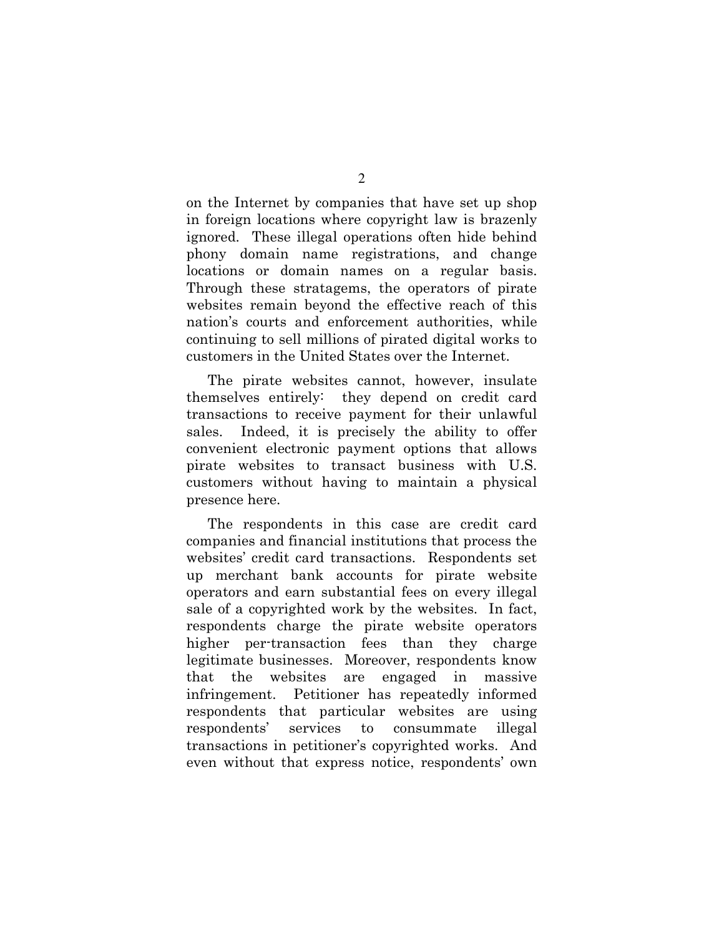on the Internet by companies that have set up shop in foreign locations where copyright law is brazenly ignored. These illegal operations often hide behind phony domain name registrations, and change locations or domain names on a regular basis. Through these stratagems, the operators of pirate websites remain beyond the effective reach of this nation's courts and enforcement authorities, while continuing to sell millions of pirated digital works to customers in the United States over the Internet.

The pirate websites cannot, however, insulate themselves entirely: they depend on credit card transactions to receive payment for their unlawful Indeed, it is precisely the ability to offer sales. convenient electronic payment options that allows pirate websites to transact business with U.S. customers without having to maintain a physical presence here.

The respondents in this case are credit card companies and financial institutions that process the websites' credit card transactions. Respondents set up merchant bank accounts for pirate website operators and earn substantial fees on every illegal sale of a copyrighted work by the websites. In fact, respondents charge the pirate website operators higher per-transaction fees than they charge legitimate businesses. Moreover, respondents know that the websites are engaged in massive infringement. Petitioner has repeatedly informed respondents that particular websites are using respondents' services consummate  $\mathbf{t}$ illegal transactions in petitioner's copyrighted works. And even without that express notice, respondents' own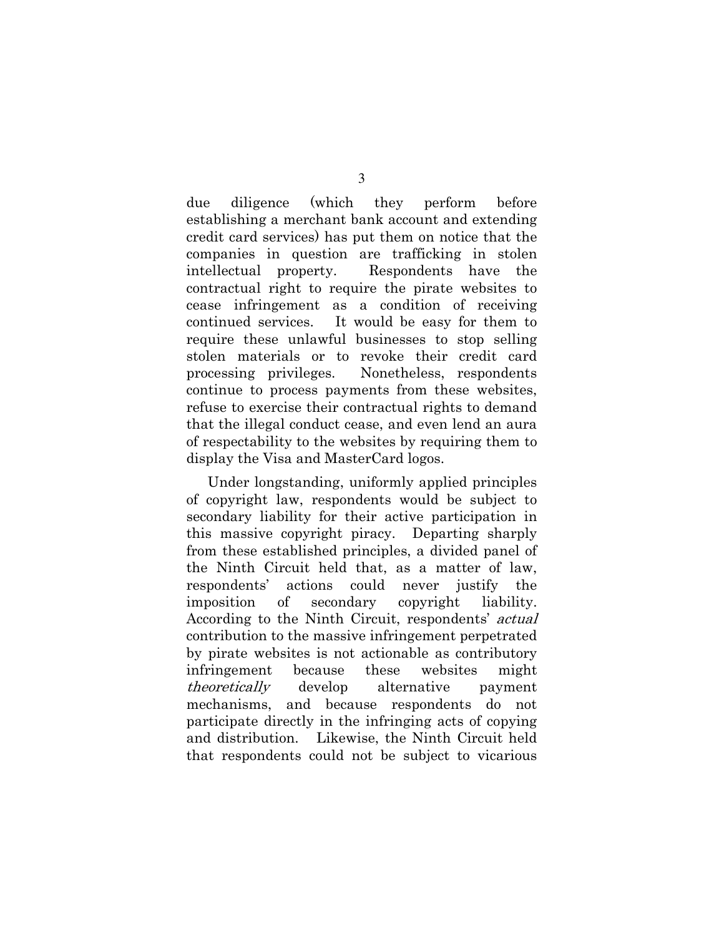(which) they perform before due diligence establishing a merchant bank account and extending credit card services) has put them on notice that the companies in question are trafficking in stolen intellectual property. Respondents have the contractual right to require the pirate websites to cease infringement as a condition of receiving continued services. It would be easy for them to require these unlawful businesses to stop selling stolen materials or to revoke their credit card Nonetheless, respondents processing privileges. continue to process payments from these websites, refuse to exercise their contractual rights to demand that the illegal conduct cease, and even lend an aura of respectability to the websites by requiring them to display the Visa and MasterCard logos.

Under longstanding, uniformly applied principles of copyright law, respondents would be subject to secondary liability for their active participation in this massive copyright piracy. Departing sharply from these established principles, a divided panel of the Ninth Circuit held that, as a matter of law, respondents' actions could never justify the imposition of secondary copyright liability. According to the Ninth Circuit, respondents' actual contribution to the massive infringement perpetrated by pirate websites is not actionable as contributory because these websites might infringement theoretically develop alternative payment mechanisms, and because respondents do not participate directly in the infringing acts of copying and distribution. Likewise, the Ninth Circuit held that respondents could not be subject to vicarious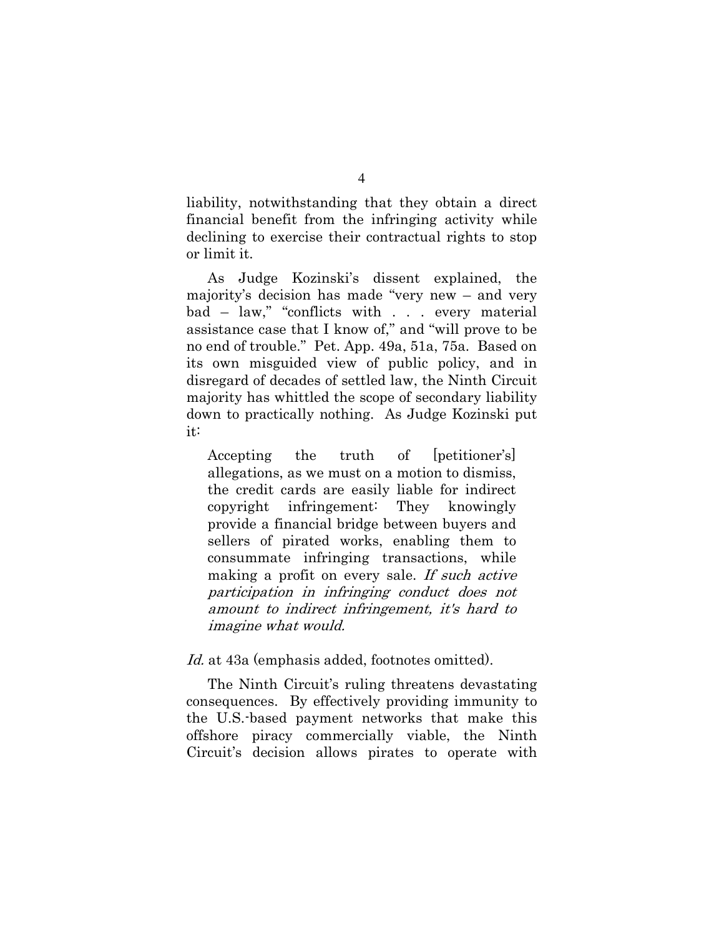liability, notwithstanding that they obtain a direct financial benefit from the infringing activity while declining to exercise their contractual rights to stop or limit it.

As Judge Kozinski's dissent explained, the majority's decision has made "very new – and very bad - law," "conflicts with . . . every material assistance case that I know of," and "will prove to be no end of trouble." Pet. App. 49a, 51a, 75a. Based on its own misguided view of public policy, and in disregard of decades of settled law, the Ninth Circuit majority has whittled the scope of secondary liability down to practically nothing. As Judge Kozinski put it:

the [petitioner's] Accepting truth of allegations, as we must on a motion to dismiss, the credit cards are easily liable for indirect infringement: copyright They knowingly provide a financial bridge between buyers and sellers of pirated works, enabling them to consummate infringing transactions, while making a profit on every sale. If such active participation in infringing conduct does not amount to indirect infringement, it's hard to *imagine what would.* 

*Id.* at 43a (emphasis added, footnotes omitted).

The Ninth Circuit's ruling threatens devastating consequences. By effectively providing immunity to the U.S. based payment networks that make this offshore piracy commercially viable, the Ninth Circuit's decision allows pirates to operate with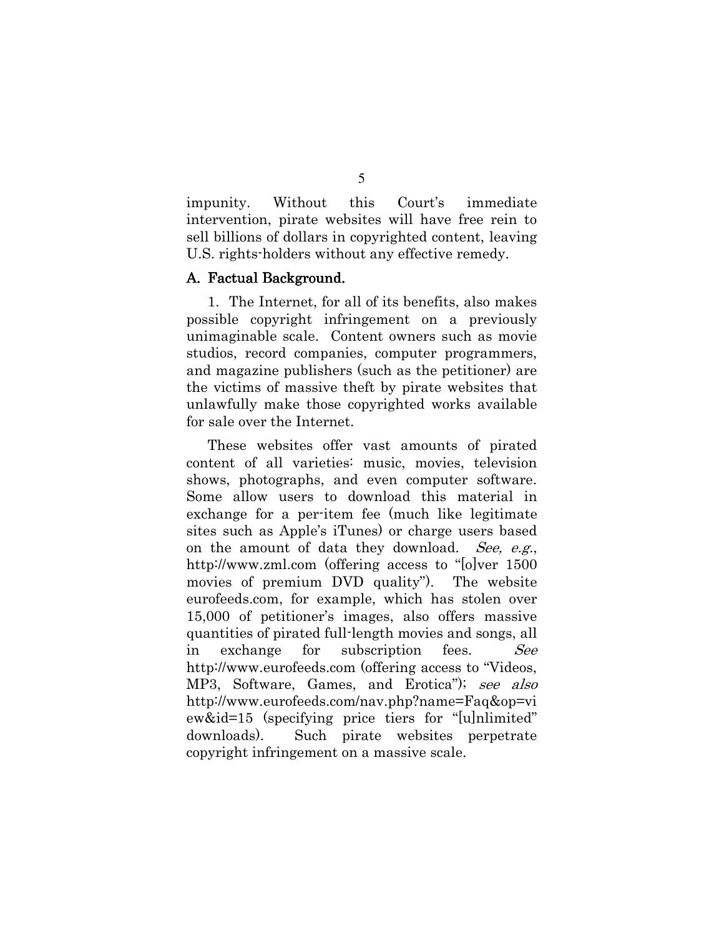Without this Court's impunity. immediate intervention, pirate websites will have free rein to sell billions of dollars in copyrighted content, leaving U.S. rights-holders without any effective remedy.

#### A. Factual Background.

1. The Internet, for all of its benefits, also makes possible copyright infringement on a previously unimaginable scale. Content owners such as movie studios, record companies, computer programmers, and magazine publishers (such as the petitioner) are the victims of massive theft by pirate websites that unlawfully make those copyrighted works available for sale over the Internet.

These websites offer vast amounts of pirated content of all varieties: music, movies, television shows, photographs, and even computer software. Some allow users to download this material in exchange for a per-item fee (much like legitimate sites such as Apple's iTunes) or charge users based on the amount of data they download. See, e.g., http://www.zml.com (offering access to "[o]ver 1500 movies of premium DVD quality". The website eurofeeds.com, for example, which has stolen over 15,000 of petitioner's images, also offers massive quantities of pirated full-length movies and songs, all exchange for subscription See in fees. http://www.eurofeeds.com (offering access to "Videos, MP3, Software, Games, and Erotica"); see also http://www.eurofeeds.com/nav.php?name=Faq&op=vi ew&id=15 (specifying price tiers for "[u]nlimited" downloads). Such pirate websites perpetrate copyright infringement on a massive scale.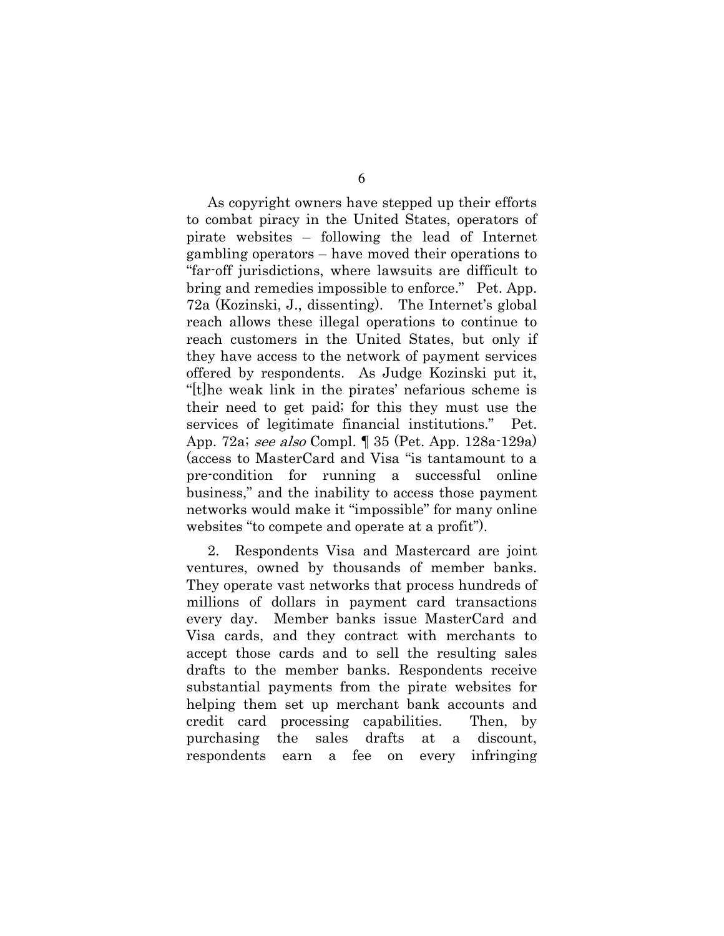As copyright owners have stepped up their efforts to combat piracy in the United States, operators of pirate websites – following the lead of Internet gambling operators  $-$  have moved their operations to "far-off jurisdictions, where lawsuits are difficult to bring and remedies impossible to enforce." Pet. App. 72a (Kozinski, J., dissenting). The Internet's global reach allows these illegal operations to continue to reach customers in the United States, but only if they have access to the network of payment services offered by respondents. As Judge Kozinski put it, "[t] he weak link in the pirates' nefarious scheme is their need to get paid; for this they must use the services of legitimate financial institutions." Pet. App. 72a; see also Compl. 1 35 (Pet. App. 128a-129a) (access to MasterCard and Visa "is tantamount to a pre-condition for running a successful online business," and the inability to access those payment networks would make it "impossible" for many online websites "to compete and operate at a profit").

2. Respondents Visa and Mastercard are joint ventures, owned by thousands of member banks. They operate vast networks that process hundreds of millions of dollars in payment card transactions every day. Member banks issue MasterCard and Visa cards, and they contract with merchants to accept those cards and to sell the resulting sales drafts to the member banks. Respondents receive substantial payments from the pirate websites for helping them set up merchant bank accounts and credit card processing capabilities. Then, by purchasing the sales drafts discount. at  $\mathbf{a}$ respondents earn a fee on every infringing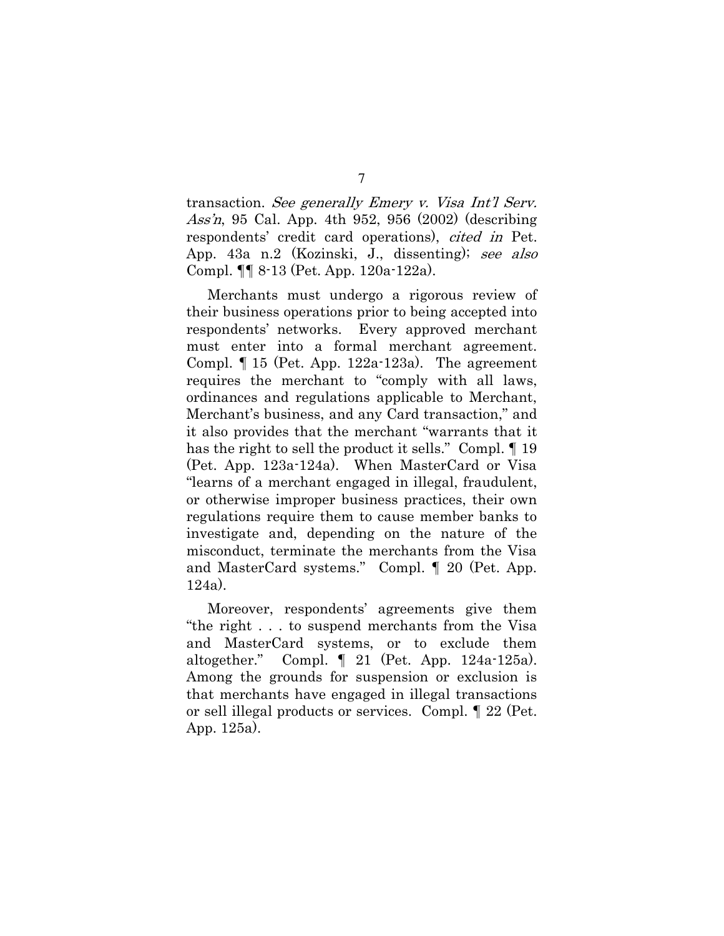transaction. See generally Emery v. Visa Int'l Serv. *Ass'n*, 95 Cal. App. 4th 952, 956 (2002) (describing respondents' credit card operations), *cited in* Pet. App. 43a n.2 (Kozinski, J., dissenting); see also Compl.  $\P\P$  8-13 (Pet. App. 120a-122a).

Merchants must undergo a rigorous review of their business operations prior to being accepted into respondents' networks. Every approved merchant must enter into a formal merchant agreement. Compl.  $\parallel$  15 (Pet. App. 122a-123a). The agreement requires the merchant to "comply with all laws, ordinances and regulations applicable to Merchant, Merchant's business, and any Card transaction," and it also provides that the merchant "warrants that it has the right to sell the product it sells." Compl. 19 (Pet. App. 123a-124a). When MasterCard or Visa "learns of a merchant engaged in illegal, fraudulent, or otherwise improper business practices, their own regulations require them to cause member banks to investigate and, depending on the nature of the misconduct, terminate the merchants from the Visa and MasterCard systems." Compl. ¶ 20 (Pet. App.  $124a)$ .

Moreover, respondents' agreements give them "the right... to suspend merchants from the Visa" and MasterCard systems, or to exclude them altogether." Compl.  $\parallel$  21 (Pet. App. 124a-125a). Among the grounds for suspension or exclusion is that merchants have engaged in illegal transactions or sell illegal products or services. Compl. 1 22 (Pet. App.  $125a$ ).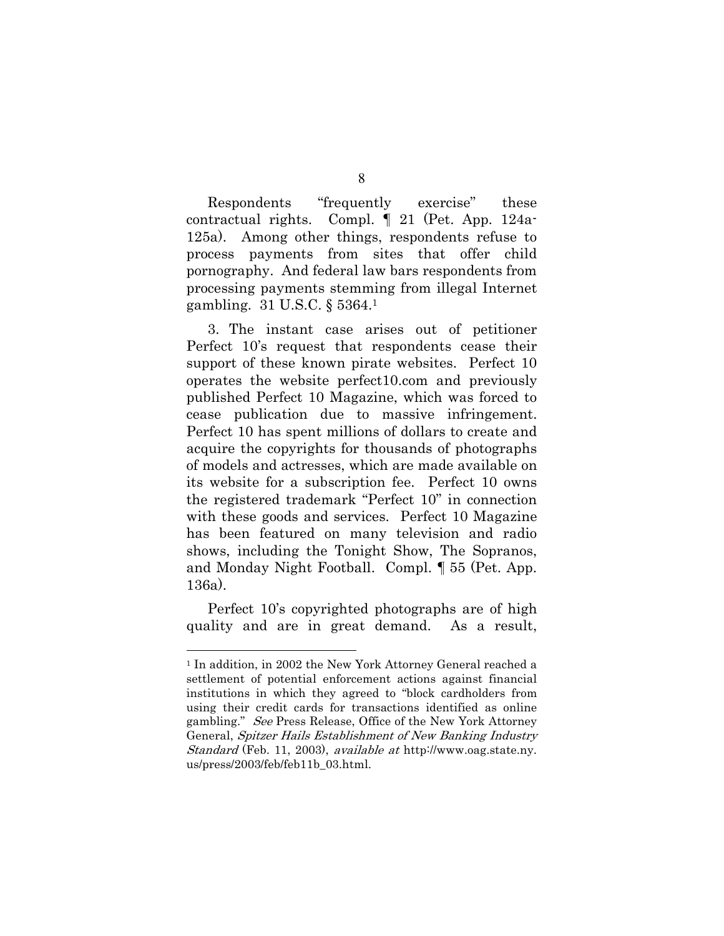Respondents "frequently" exercise" these Compl.  $\parallel$  21 (Pet. App. 124acontractual rights. 125a). Among other things, respondents refuse to process payments from sites that offer child pornography. And federal law bars respondents from processing payments stemming from illegal Internet gambling. 31 U.S.C. § 5364.1

3. The instant case arises out of petitioner Perfect 10's request that respondents cease their support of these known pirate websites. Perfect 10 operates the website perfect10.com and previously published Perfect 10 Magazine, which was forced to cease publication due to massive infringement. Perfect 10 has spent millions of dollars to create and acquire the copyrights for thousands of photographs of models and actresses, which are made available on its website for a subscription fee. Perfect 10 owns the registered trademark "Perfect 10" in connection with these goods and services. Perfect 10 Magazine has been featured on many television and radio shows, including the Tonight Show, The Sopranos, and Monday Night Football. Compl. 155 (Pet. App.  $136a)$ .

Perfect 10's copyrighted photographs are of high quality and are in great demand. As a result,

<sup>&</sup>lt;sup>1</sup> In addition, in 2002 the New York Attorney General reached a settlement of potential enforcement actions against financial institutions in which they agreed to "block cardholders from using their credit cards for transactions identified as online gambling." See Press Release, Office of the New York Attorney General, Spitzer Hails Establishment of New Banking Industry *Standard* (Feb. 11, 2003), *available at* http://www.oag.state.ny. us/press/2003/feb/feb11b 03.html.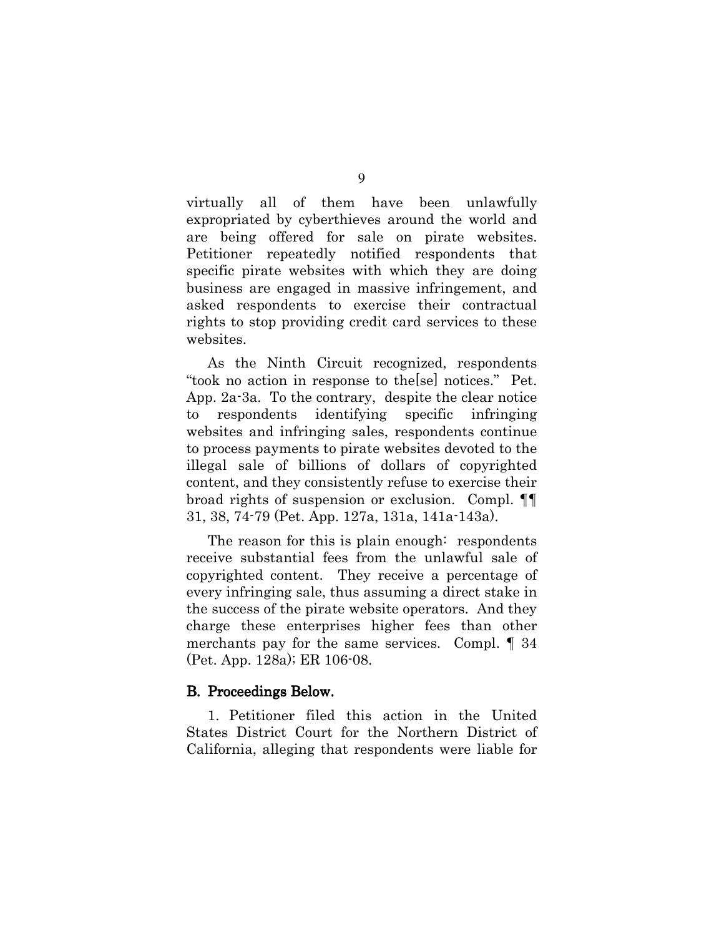all of them have been unlawfully virtually expropriated by cyberthieves around the world and are being offered for sale on pirate websites. Petitioner repeatedly notified respondents that specific pirate websites with which they are doing business are engaged in massive infringement, and asked respondents to exercise their contractual rights to stop providing credit card services to these websites.

As the Ninth Circuit recognized, respondents "took no action in response to the sel notices." Pet. App. 2a-3a. To the contrary, despite the clear notice respondents identifying to specific infringing websites and infringing sales, respondents continue to process payments to pirate websites devoted to the illegal sale of billions of dollars of copyrighted content, and they consistently refuse to exercise their broad rights of suspension or exclusion. Compl. 11 31, 38, 74-79 (Pet. App. 127a, 131a, 141a-143a).

The reason for this is plain enough: respondents receive substantial fees from the unlawful sale of copyrighted content. They receive a percentage of every infringing sale, thus assuming a direct stake in the success of the pirate website operators. And they charge these enterprises higher fees than other merchants pay for the same services. Compl.  $\llbracket 34 \rrbracket$ (Pet. App. 128a); ER 106-08.

#### **B.** Proceedings Below.

1. Petitioner filed this action in the United States District Court for the Northern District of California, alleging that respondents were liable for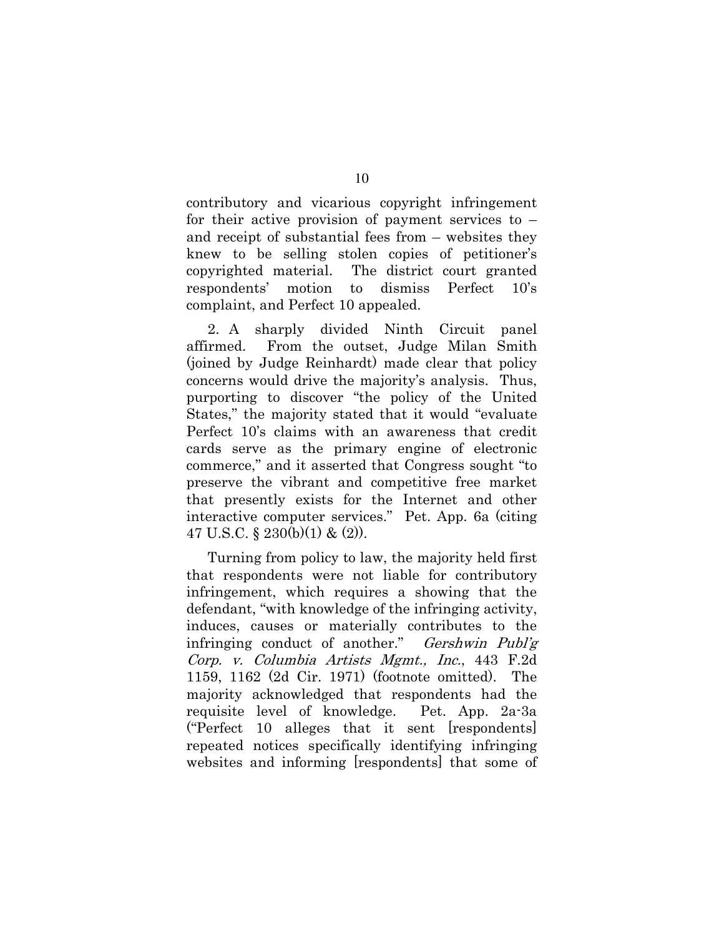contributory and vicarious copyright infringement for their active provision of payment services to  $$ and receipt of substantial fees from – websites they knew to be selling stolen copies of petitioner's copyrighted material. The district court granted respondents' motion  $\mathop{\mathrm{to}}$ dismiss Perfect  $10's$ complaint, and Perfect 10 appealed.

2. A sharply divided Ninth Circuit panel affirmed. From the outset, Judge Milan Smith (joined by Judge Reinhardt) made clear that policy concerns would drive the majority's analysis. Thus, purporting to discover "the policy of the United States," the majority stated that it would "evaluate Perfect 10's claims with an awareness that credit cards serve as the primary engine of electronic commerce," and it asserted that Congress sought "to" preserve the vibrant and competitive free market that presently exists for the Internet and other interactive computer services." Pet. App. 6a (citing 47 U.S.C. § 230(b)(1) & (2)).

Turning from policy to law, the majority held first that respondents were not liable for contributory infringement, which requires a showing that the defendant, "with knowledge of the infringing activity, induces, causes or materially contributes to the infringing conduct of another." *Gershwin Publ'g* Corp. v. Columbia Artists Mgmt., Inc., 443 F.2d 1159, 1162  $(2d$  Cir. 1971) (footnote omitted). The majority acknowledged that respondents had the requisite level of knowledge. Pet. App. 2a-3a ("Perfect 10 alleges that it sent [respondents] repeated notices specifically identifying infringing websites and informing respondents that some of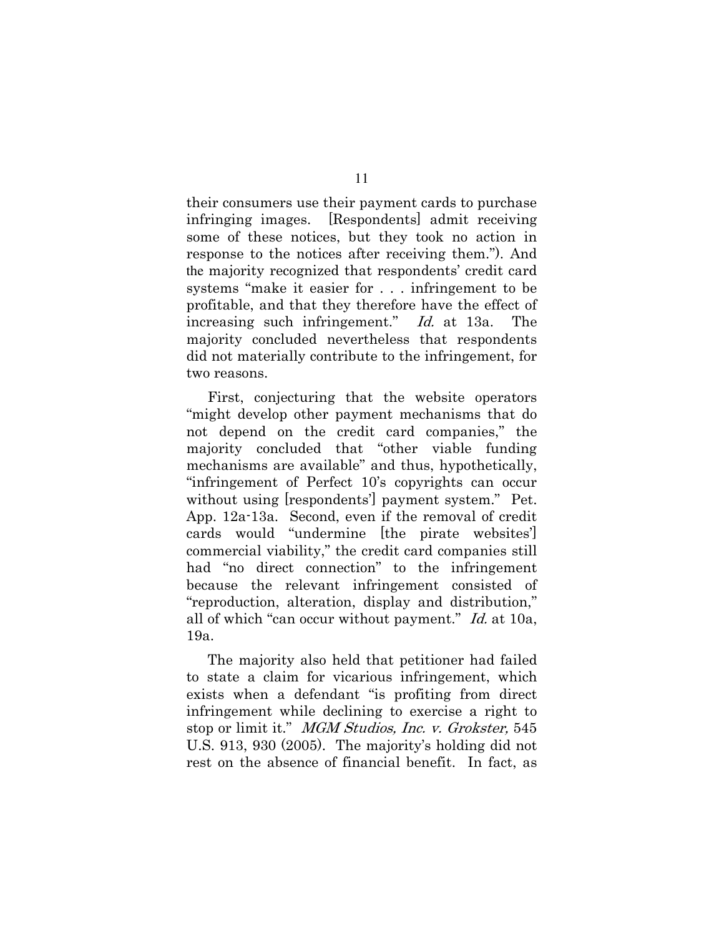their consumers use their payment cards to purchase infringing images. [Respondents] admit receiving some of these notices, but they took no action in response to the notices after receiving them."). And the majority recognized that respondents' credit card systems "make it easier for . . . infringement to be profitable, and that they therefore have the effect of increasing such infringement." *Id.* at 13a. The majority concluded nevertheless that respondents did not materially contribute to the infringement, for two reasons.

First, conjecturing that the website operators "might develop other payment mechanisms that do not depend on the credit card companies," the majority concluded that "other viable funding mechanisms are available" and thus, hypothetically, "infringement of Perfect 10's copyrights can occur without using [respondents'] payment system." Pet. App. 12a-13a. Second, even if the removal of credit cards would "undermine the pirate websites" commercial viability," the credit card companies still had "no direct connection" to the infringement because the relevant infringement consisted of "reproduction, alteration, display and distribution," all of which "can occur without payment." Id. at 10a, 19a.

The majority also held that petitioner had failed to state a claim for vicarious infringement, which exists when a defendant "is profiting from direct infringement while declining to exercise a right to stop or limit it." MGM Studios, Inc. v. Grokster, 545 U.S. 913, 930  $(2005)$ . The majority's holding did not rest on the absence of financial benefit. In fact, as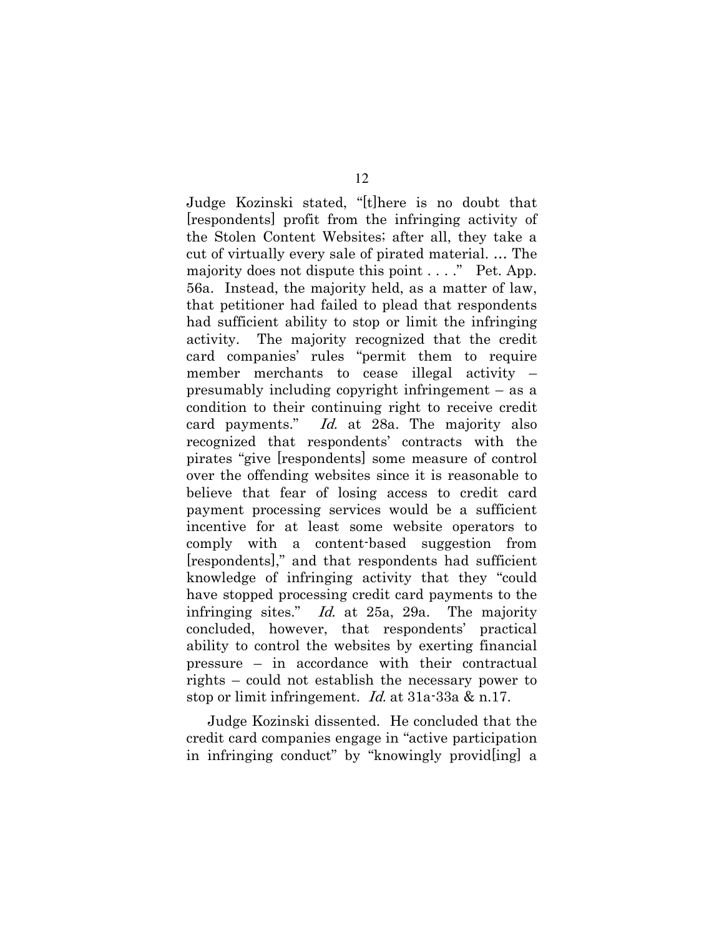Judge Kozinski stated, "[t] here is no doubt that respondents profit from the infringing activity of the Stolen Content Websites; after all, they take a cut of virtually every sale of pirated material.... The majority does not dispute this point . . . . " Pet. App. 56a. Instead, the majority held, as a matter of law, that petitioner had failed to plead that respondents had sufficient ability to stop or limit the infringing activity. The majority recognized that the credit card companies' rules "permit them to require member merchants to cease illegal activity presumably including copyright infringement  $-$  as a condition to their continuing right to receive credit Id. at 28a. The majority also card payments." recognized that respondents' contracts with the pirates "give [respondents] some measure of control over the offending websites since it is reasonable to believe that fear of losing access to credit card payment processing services would be a sufficient incentive for at least some website operators to comply with a content-based suggestion from [respondents]," and that respondents had sufficient knowledge of infringing activity that they "could have stopped processing credit card payments to the infringing sites." Id. at 25a, 29a. The majority concluded, however, that respondents' practical ability to control the websites by exerting financial pressure – in accordance with their contractual rights – could not establish the necessary power to stop or limit infringement. *Id.* at  $31a - 33a \& n.17$ .

Judge Kozinski dissented. He concluded that the credit card companies engage in "active participation" in infringing conduct" by "knowingly providling a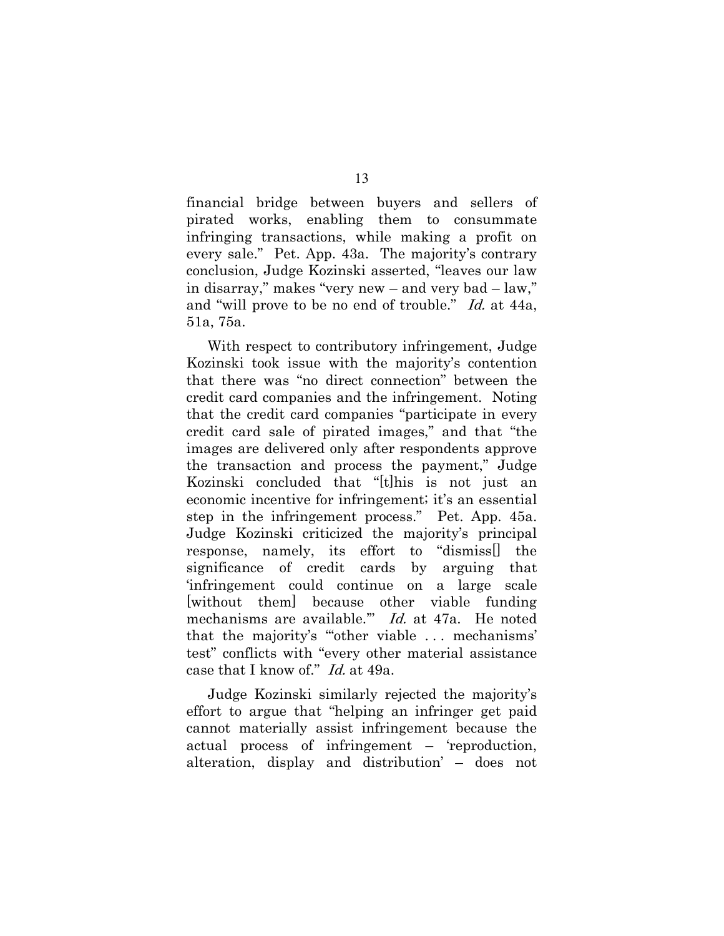financial bridge between buyers and sellers of pirated works, enabling them to consummate infringing transactions, while making a profit on every sale." Pet. App. 43a. The majority's contrary conclusion, Judge Kozinski asserted, "leaves our law in disarray," makes "very new – and very bad – law," and "will prove to be no end of trouble." Id. at 44a, 51a, 75a.

With respect to contributory infringement, Judge Kozinski took issue with the majority's contention that there was "no direct connection" between the credit card companies and the infringement. Noting that the credit card companies "participate in every credit card sale of pirated images," and that "the images are delivered only after respondents approve the transaction and process the payment," Judge Kozinski concluded that "[t] his is not just an economic incentive for infringement; it's an essential step in the infringement process." Pet. App. 45a. Judge Kozinski criticized the majority's principal response, namely, its effort to "dismissell the significance of credit cards by arguing that infringement could continue on a large scale without them because other viable funding mechanisms are available." Id. at 47a. He noted that the majority's "other viable ... mechanisms' test" conflicts with "every other material assistance case that I know of." Id. at 49a.

Judge Kozinski similarly rejected the majority's effort to argue that "helping an infringer get paid cannot materially assist infringement because the actual process of infringement – 'reproduction, alteration, display and distribution' – does not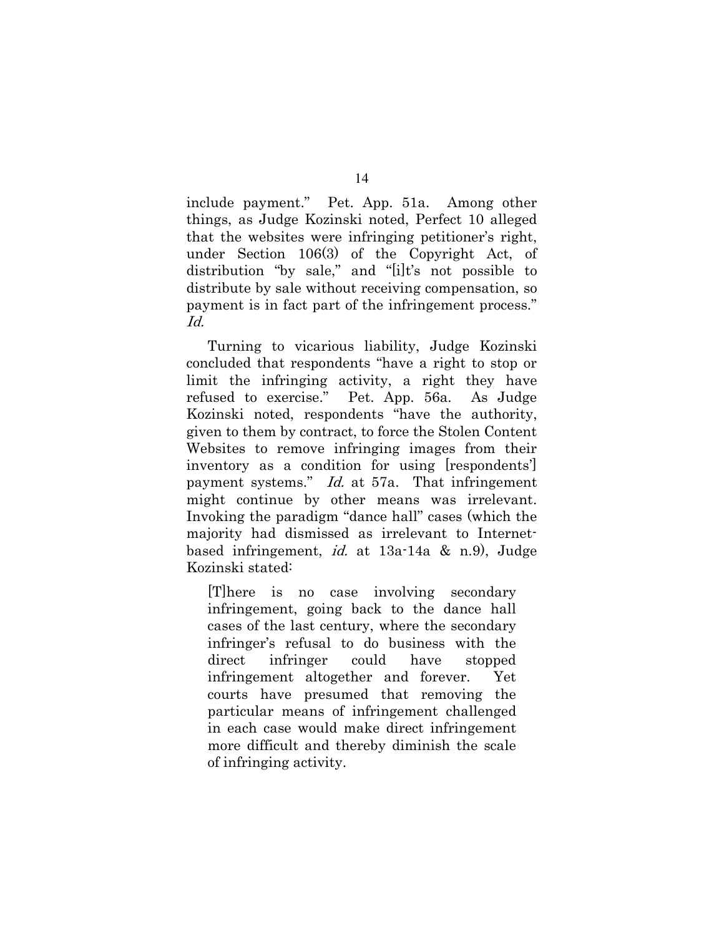include payment." Pet. App. 51a. Among other things, as Judge Kozinski noted, Perfect 10 alleged that the websites were infringing petitioner's right, under Section  $106(3)$  of the Copyright Act, of distribution "by sale," and "[i]t's not possible to distribute by sale without receiving compensation, so payment is in fact part of the infringement process." Id.

Turning to vicarious liability, Judge Kozinski concluded that respondents "have a right to stop or limit the infringing activity, a right they have refused to exercise." Pet. App. 56a. As Judge Kozinski noted, respondents "have the authority, given to them by contract, to force the Stolen Content Websites to remove infringing images from their inventory as a condition for using [respondents] payment systems." *Id.* at 57a. That infringement might continue by other means was irrelevant. Invoking the paradigm "dance hall" cases (which the majority had dismissed as irrelevant to Internetbased infringement, *id.* at  $13a-14a \& n.9$ , Judge Kozinski stated:

[There is no case involving secondary infringement, going back to the dance hall cases of the last century, where the secondary infringer's refusal to do business with the  $\mathrm{direct}$ infringer could have stopped infringement altogether and forever. Yet courts have presumed that removing the particular means of infringement challenged in each case would make direct infringement more difficult and thereby diminish the scale of infringing activity.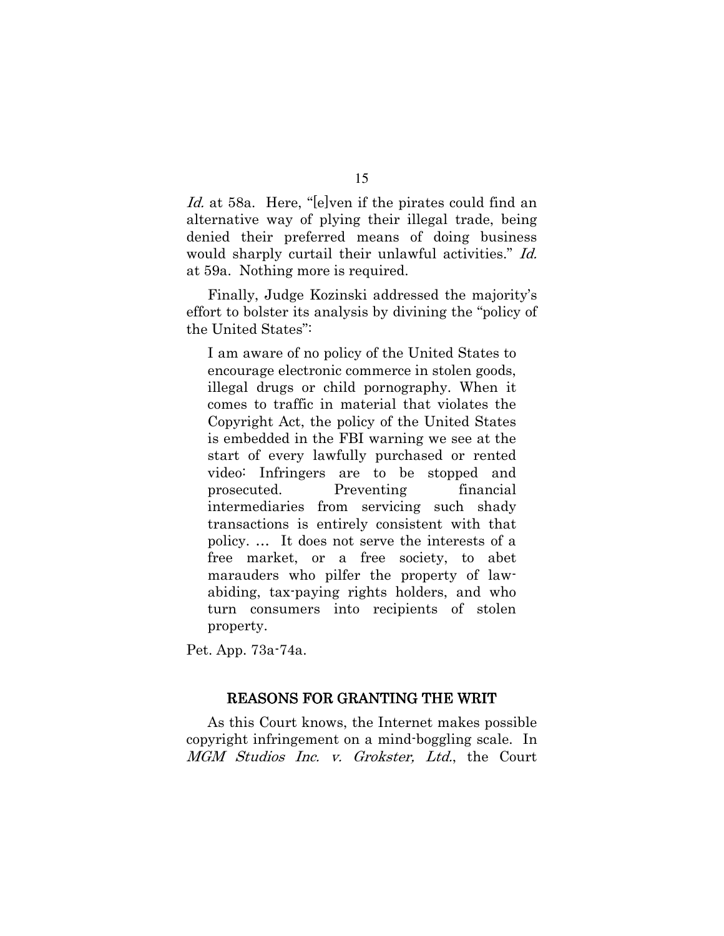*Id.* at 58a. Here, "[e]ven if the pirates could find an alternative way of plying their illegal trade, being denied their preferred means of doing business would sharply curtail their unlawful activities." Id. at 59a. Nothing more is required.

Finally, Judge Kozinski addressed the majority's effort to bolster its analysis by divining the "policy of the United States":

I am aware of no policy of the United States to encourage electronic commerce in stolen goods, illegal drugs or child pornography. When it comes to traffic in material that violates the Copyright Act, the policy of the United States is embedded in the FBI warning we see at the start of every lawfully purchased or rented video: Infringers are to be stopped and prosecuted. Preventing financial intermediaries from servicing such shady transactions is entirely consistent with that policy.... It does not serve the interests of a free market, or a free society, to abet marauders who pilfer the property of lawabiding, tax-paying rights holders, and who turn consumers into recipients of stolen property.

Pet. App. 73a-74a.

#### **REASONS FOR GRANTING THE WRIT**

As this Court knows, the Internet makes possible copyright infringement on a mind-boggling scale. In MGM Studios Inc. v. Grokster, Ltd., the Court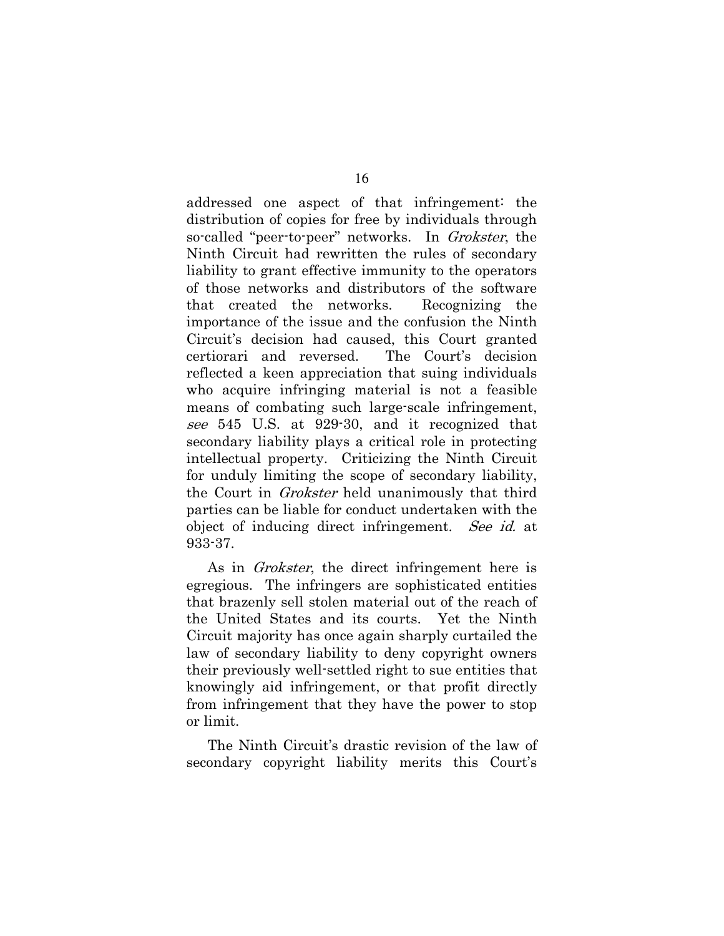addressed one aspect of that infringement: the distribution of copies for free by individuals through so-called "peer-to-peer" networks. In Grokster, the Ninth Circuit had rewritten the rules of secondary liability to grant effective immunity to the operators of those networks and distributors of the software that created the networks. Recognizing the importance of the issue and the confusion the Ninth Circuit's decision had caused, this Court granted certiorari and reversed. The Court's decision reflected a keen appreciation that suing individuals who acquire infringing material is not a feasible means of combating such large-scale infringement, see 545 U.S. at 929-30, and it recognized that secondary liability plays a critical role in protecting intellectual property. Criticizing the Ninth Circuit for unduly limiting the scope of secondary liability, the Court in *Grokster* held unanimously that third parties can be liable for conduct undertaken with the object of inducing direct infringement. See id. at  $933-37.$ 

As in *Grokster*, the direct infringement here is egregious. The infringers are sophisticated entities that brazenly sell stolen material out of the reach of the United States and its courts. Yet the Ninth Circuit majority has once again sharply curtailed the law of secondary liability to deny copyright owners their previously well-settled right to sue entities that knowingly aid infringement, or that profit directly from infringement that they have the power to stop or limit.

The Ninth Circuit's drastic revision of the law of secondary copyright liability merits this Court's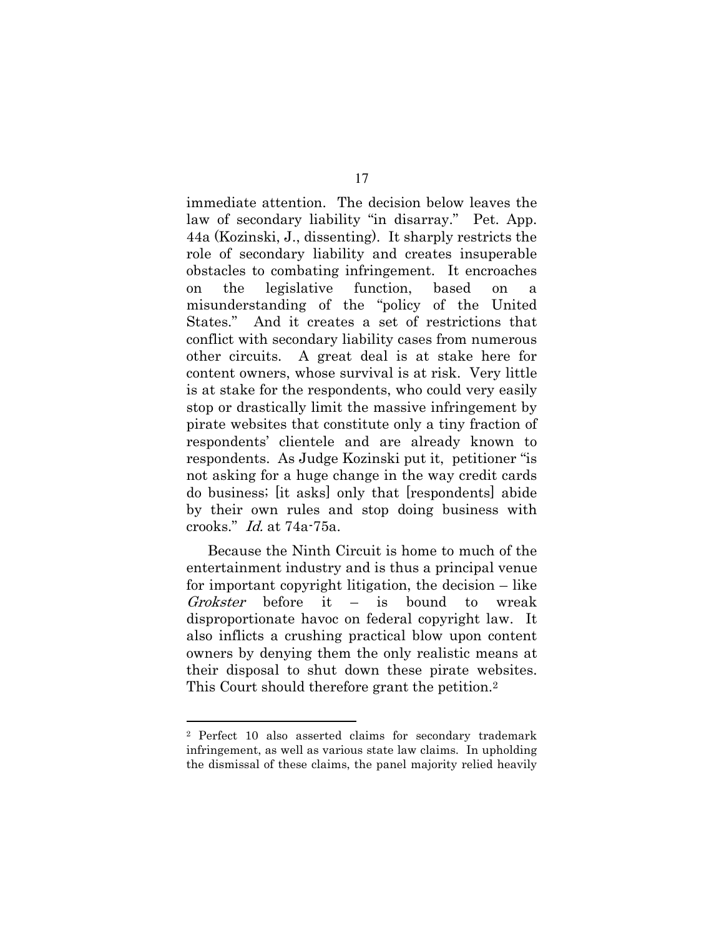immediate attention. The decision below leaves the law of secondary liability "in disarray." Pet. App. 44a (Kozinski, J., dissenting). It sharply restricts the role of secondary liability and creates insuperable obstacles to combating infringement. It encroaches on the legislative function, based on a misunderstanding of the "policy of the United States." And it creates a set of restrictions that conflict with secondary liability cases from numerous other circuits. A great deal is at stake here for content owners, whose survival is at risk. Very little is at stake for the respondents, who could very easily stop or drastically limit the massive infringement by pirate websites that constitute only a tiny fraction of respondents' clientele and are already known to respondents. As Judge Kozinski put it, petitioner "is not asking for a huge change in the way credit cards do business; [it asks] only that [respondents] abide by their own rules and stop doing business with crooks." Id. at 74a-75a.

Because the Ninth Circuit is home to much of the entertainment industry and is thus a principal venue for important copyright litigation, the decision – like Grokster before it  $\equiv$ is bound  $\mathbf{t}$ wreak disproportionate havor on federal copyright law. It also inflicts a crushing practical blow upon content owners by denying them the only realistic means at their disposal to shut down these pirate websites. This Court should therefore grant the petition.<sup>2</sup>

<sup>&</sup>lt;sup>2</sup> Perfect 10 also asserted claims for secondary trademark infringement, as well as various state law claims. In upholding the dismissal of these claims, the panel majority relied heavily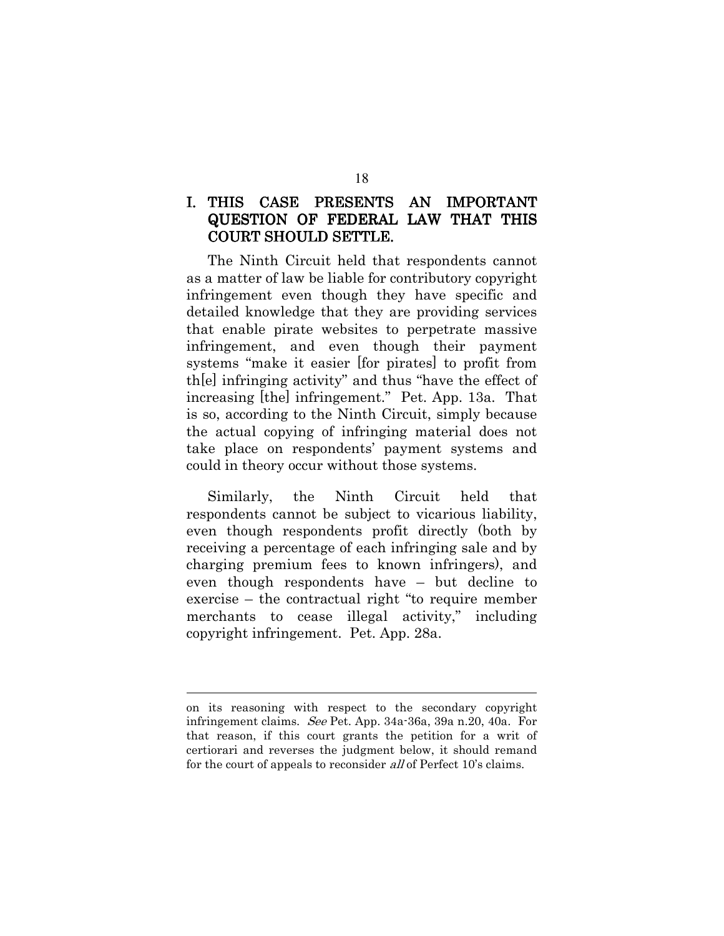#### CASE PRESENTS AN IMPORTANT I. THIS **QUESTION OF FEDERAL LAW THAT THIS COURT SHOULD SETTLE.**

The Ninth Circuit held that respondents cannot as a matter of law be liable for contributory copyright infringement even though they have specific and detailed knowledge that they are providing services that enable pirate websites to perpetrate massive infringement, and even though their payment systems "make it easier [for pirates] to profit from the infringing activity" and thus "have the effect of increasing [the] infringement." Pet. App. 13a. That is so, according to the Ninth Circuit, simply because the actual copying of infringing material does not take place on respondents' payment systems and could in theory occur without those systems.

the Ninth Circuit held Similarly, that respondents cannot be subject to vicarious liability, even though respondents profit directly (both by receiving a percentage of each infringing sale and by charging premium fees to known infringers), and even though respondents have – but decline to exercise – the contractual right "to require member" merchants to cease illegal activity," including copyright infringement. Pet. App. 28a.

on its reasoning with respect to the secondary copyright infringement claims. See Pet. App. 34a-36a, 39a n.20, 40a. For that reason, if this court grants the petition for a writ of certiorari and reverses the judgment below, it should remand for the court of appeals to reconsider all of Perfect 10's claims.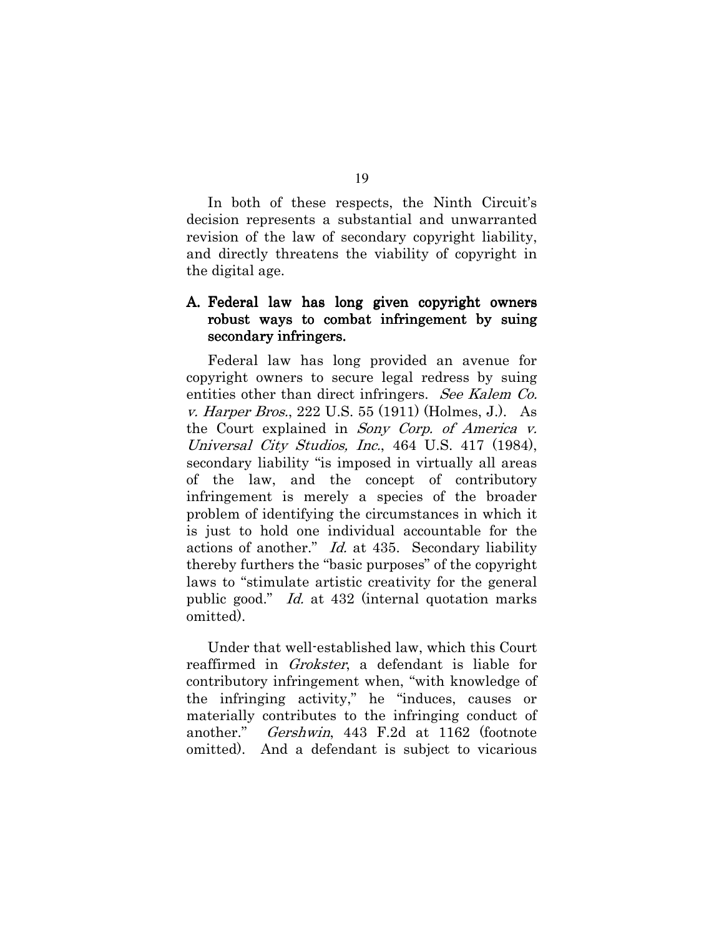In both of these respects, the Ninth Circuit's decision represents a substantial and unwarranted revision of the law of secondary copyright liability, and directly threatens the viability of copyright in the digital age.

## A. Federal law has long given copyright owners robust ways to combat infringement by suing secondary infringers.

Federal law has long provided an avenue for copyright owners to secure legal redress by suing entities other than direct infringers. See Kalem Co. *v. Harper Bros.*, 222 U.S. 55 (1911) (Holmes, J.). As the Court explained in Sony Corp. of America v. Universal City Studios, Inc., 464 U.S. 417 (1984), secondary liability "is imposed in virtually all areas of the law, and the concept of contributory infringement is merely a species of the broader problem of identifying the circumstances in which it is just to hold one individual accountable for the actions of another." *Id.* at 435. Secondary liability thereby furthers the "basic purposes" of the copyright laws to "stimulate artistic creativity for the general public good." *Id.* at 432 (internal quotation marks omitted).

Under that well-established law, which this Court reaffirmed in *Grokster*, a defendant is liable for contributory infringement when, "with knowledge of the infringing activity," he "induces, causes or materially contributes to the infringing conduct of another." *Gershwin*, 443 F.2d at 1162 (footnote omitted). And a defendant is subject to vicarious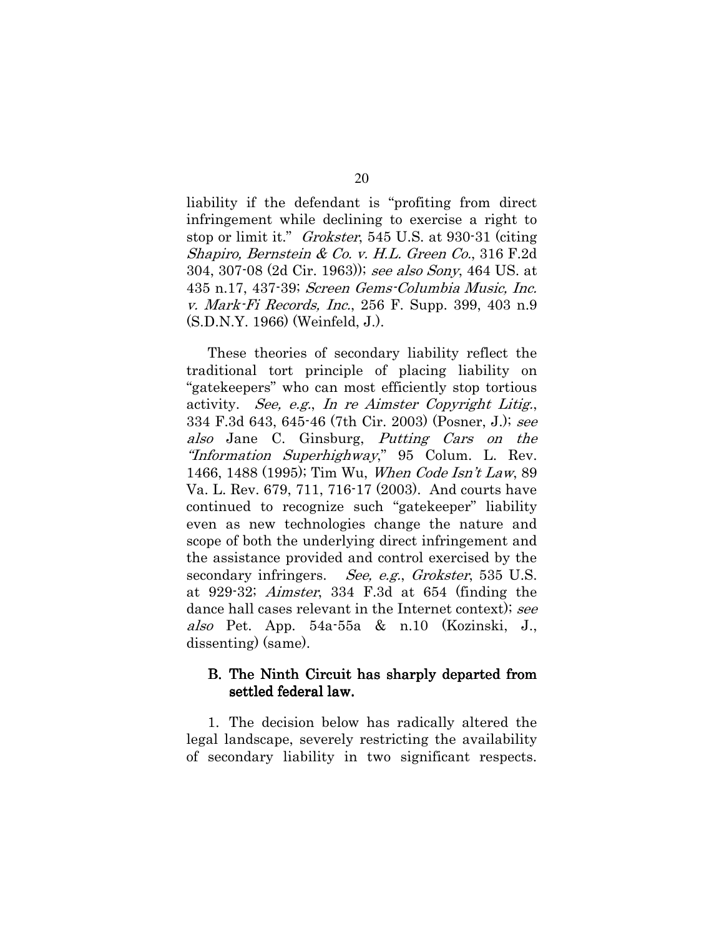liability if the defendant is "profiting from direct" infringement while declining to exercise a right to stop or limit it." *Grokster*, 545 U.S. at 930-31 (citing Shapiro, Bernstein & Co. v. H.L. Green Co., 316 F.2d 304, 307-08 (2d Cir. 1963)); see also Sony, 464 US. at 435 n.17, 437-39; Screen Gems-Columbia Music, Inc. v. Mark-Fi Records, Inc., 256 F. Supp. 399, 403 n.9  $(S.D.N.Y. 1966)$  (Weinfeld, J.).

These theories of secondary liability reflect the traditional tort principle of placing liability on "gatekeepers" who can most efficiently stop tortious activity. See, e.g., In re Aimster Copyright Litig., 334 F.3d 643, 645-46 (7th Cir. 2003) (Posner, J.); see also Jane C. Ginsburg, *Putting Cars on the* "Information Superhighway," 95 Colum. L. Rev. 1466, 1488 (1995); Tim Wu, When Code Isn't Law, 89 Va. L. Rev. 679, 711, 716-17 (2003). And courts have continued to recognize such "gatekeeper" liability even as new technologies change the nature and scope of both the underlying direct infringement and the assistance provided and control exercised by the secondary infringers. See, e.g., Grokster, 535 U.S. at 929-32; *Aimster*, 334 F.3d at  $654$  (finding the dance hall cases relevant in the Internet context); see also Pet. App. 54a-55a & n.10 (Kozinski, J., dissenting) (same).

### B. The Ninth Circuit has sharply departed from settled federal law.

1. The decision below has radically altered the legal landscape, severely restricting the availability of secondary liability in two significant respects.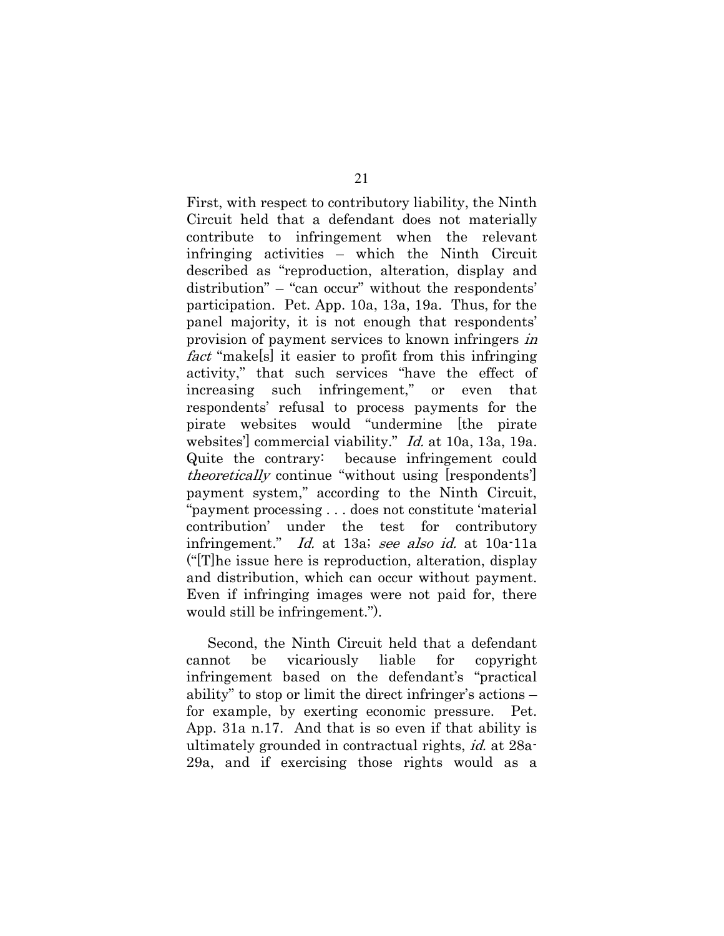First, with respect to contributory liability, the Ninth Circuit held that a defendant does not materially contribute to infringement when the relevant infringing activities – which the Ninth Circuit described as "reproduction, alteration, display and distribution" – "can occur" without the respondents' participation. Pet. App. 10a, 13a, 19a. Thus, for the panel majority, it is not enough that respondents' provision of payment services to known infringers in *fact* "makels" it easier to profit from this infringing activity," that such services "have the effect of increasing such infringement," or even that respondents' refusal to process payments for the pirate websites would "undermine [the pirate websites' commercial viability." *Id.* at 10a, 13a, 19a. Quite the contrary: because infringement could *theoretically* continue "without using [respondents'] payment system," according to the Ninth Circuit, "payment processing...does not constitute 'material" contribution' under the test for contributory infringement." Id. at 13a; see also id. at 10a-11a  $\frac{1}{2}$  ("The issue here is reproduction, alteration, display") and distribution, which can occur without payment. Even if infringing images were not paid for, there would still be infringement.").

Second, the Ninth Circuit held that a defendant liable be vicariously for copyright cannot infringement based on the defendant's "practical ability" to stop or limit the direct infringer's actions – for example, by exerting economic pressure. Pet. App. 31a n.17. And that is so even if that ability is ultimately grounded in contractual rights, *id.* at 28a-29a, and if exercising those rights would as a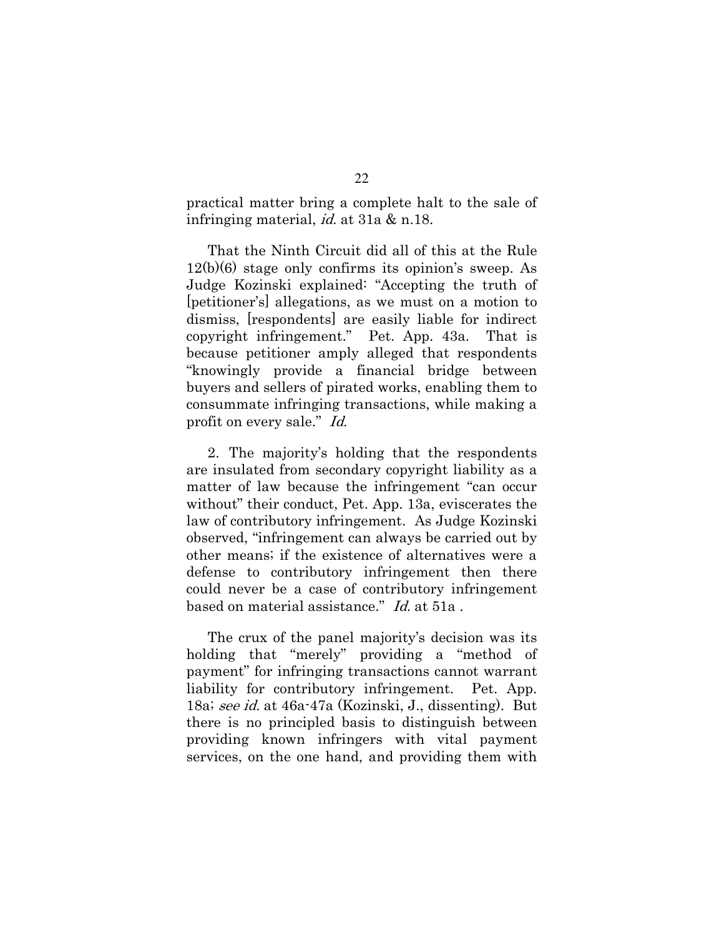practical matter bring a complete halt to the sale of infringing material, *id.* at 31a & n.18.

That the Ninth Circuit did all of this at the Rule  $12(b)(6)$  stage only confirms its opinion's sweep. As Judge Kozinski explained: "Accepting the truth of [petitioner's] allegations, as we must on a motion to dismiss, [respondents] are easily liable for indirect copyright infringement." Pet. App. 43a. That is because petitioner amply alleged that respondents "knowingly provide a financial bridge between buyers and sellers of pirated works, enabling them to consummate infringing transactions, while making a profit on every sale." Id.

2. The majority's holding that the respondents are insulated from secondary copyright liability as a matter of law because the infringement "can occur without" their conduct, Pet. App. 13a, eviscerates the law of contributory infringement. As Judge Kozinski observed, "infringement can always be carried out by other means; if the existence of alternatives were a defense to contributory infringement then there could never be a case of contributory infringement based on material assistance." Id. at 51a.

The crux of the panel majority's decision was its holding that "merely" providing a "method of payment" for infringing transactions cannot warrant liability for contributory infringement. Pet. App. 18a; see id. at 46a-47a (Kozinski, J., dissenting). But there is no principled basis to distinguish between providing known infringers with vital payment services, on the one hand, and providing them with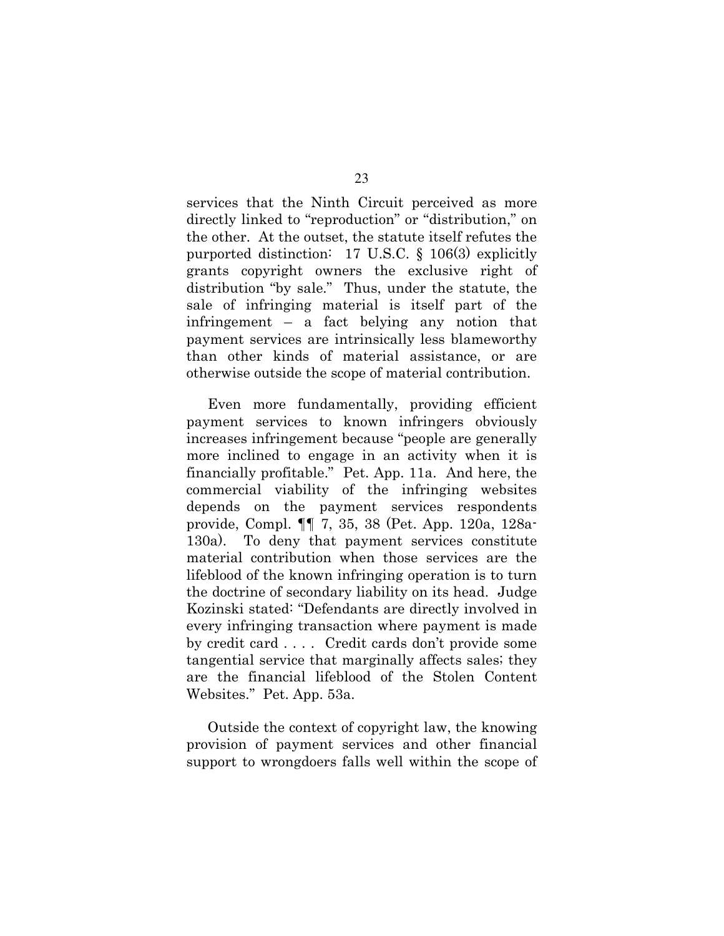services that the Ninth Circuit perceived as more directly linked to "reproduction" or "distribution," on the other. At the outset, the statute itself refutes the purported distinction:  $17 \text{ U.S.C. }$  §  $106(3)$  explicitly grants copyright owners the exclusive right of distribution "by sale." Thus, under the statute, the sale of infringing material is itself part of the infringement  $-$  a fact belying any notion that payment services are intrinsically less blameworthy than other kinds of material assistance, or are otherwise outside the scope of material contribution.

Even more fundamentally, providing efficient payment services to known infringers obviously increases infringement because "people are generally more inclined to engage in an activity when it is financially profitable." Pet. App. 11a. And here, the commercial viability of the infringing websites depends on the payment services respondents provide, Compl. ¶ 7, 35, 38 (Pet. App. 120a, 128a-To deny that payment services constitute  $130a$ ). material contribution when those services are the lifeblood of the known infringing operation is to turn the doctrine of secondary liability on its head. Judge Kozinski stated: "Defendants are directly involved in every infringing transaction where payment is made by credit card .... Credit cards don't provide some tangential service that marginally affects sales, they are the financial lifeblood of the Stolen Content Websites." Pet. App. 53a.

Outside the context of copyright law, the knowing provision of payment services and other financial support to wrongdoers falls well within the scope of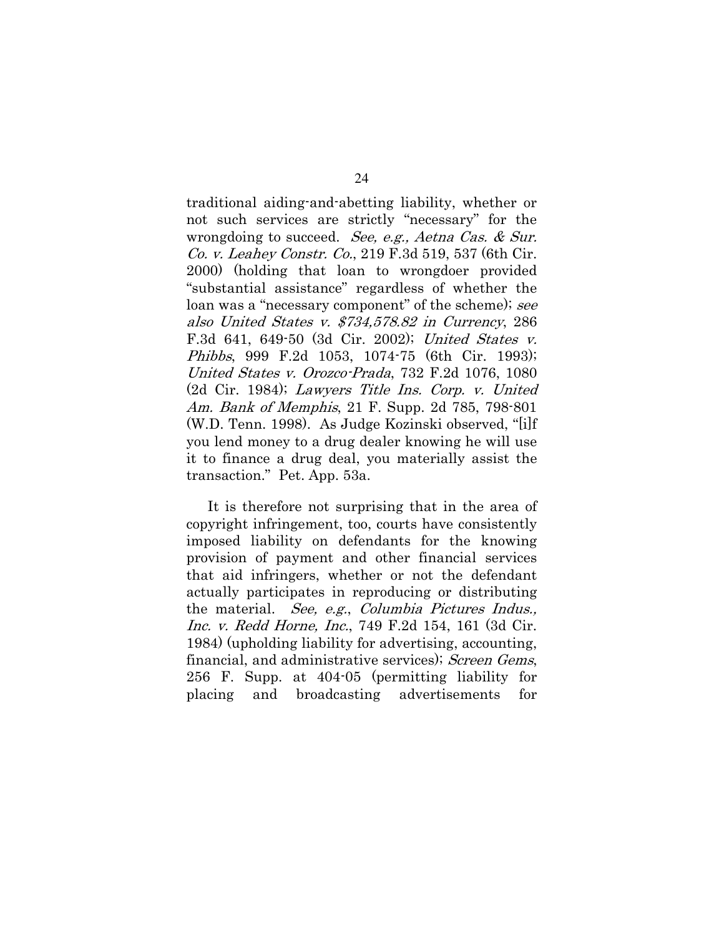traditional aiding-and-abetting liability, whether or not such services are strictly "necessary" for the wrongdoing to succeed. See, e.g., Aetna Cas. & Sur. Co. v. Leahey Constr. Co., 219 F.3d 519, 537 (6th Cir. 2000) (holding that loan to wrongdoer provided "substantial assistance" regardless of whether the loan was a "necessary component" of the scheme); see also United States v. \$734,578.82 in Currency, 286 F.3d 641, 649-50 (3d Cir. 2002); United States v. *Phibbs*, 999 F.2d 1053, 1074-75 (6th Cir. 1993); United States v. Orozco-Prada, 732 F.2d 1076, 1080 (2d Cir. 1984); Lawyers Title Ins. Corp. v. United Am. Bank of Memphis, 21 F. Supp. 2d 785, 798-801 (W.D. Tenn. 1998). As Judge Kozinski observed, "[i]f you lend money to a drug dealer knowing he will use it to finance a drug deal, you materially assist the transaction." Pet. App. 53a.

It is therefore not surprising that in the area of copyright infringement, too, courts have consistently imposed liability on defendants for the knowing provision of payment and other financial services that aid infringers, whether or not the defendant actually participates in reproducing or distributing the material. See, e.g., Columbia Pictures Indus., *Inc. v. Redd Horne, Inc.*, 749 F.2d 154, 161 (3d Cir. 1984) (upholding liability for advertising, accounting, financial, and administrative services); Screen Gems, 256 F. Supp. at 404-05 (permitting liability for placing and broadcasting advertisements for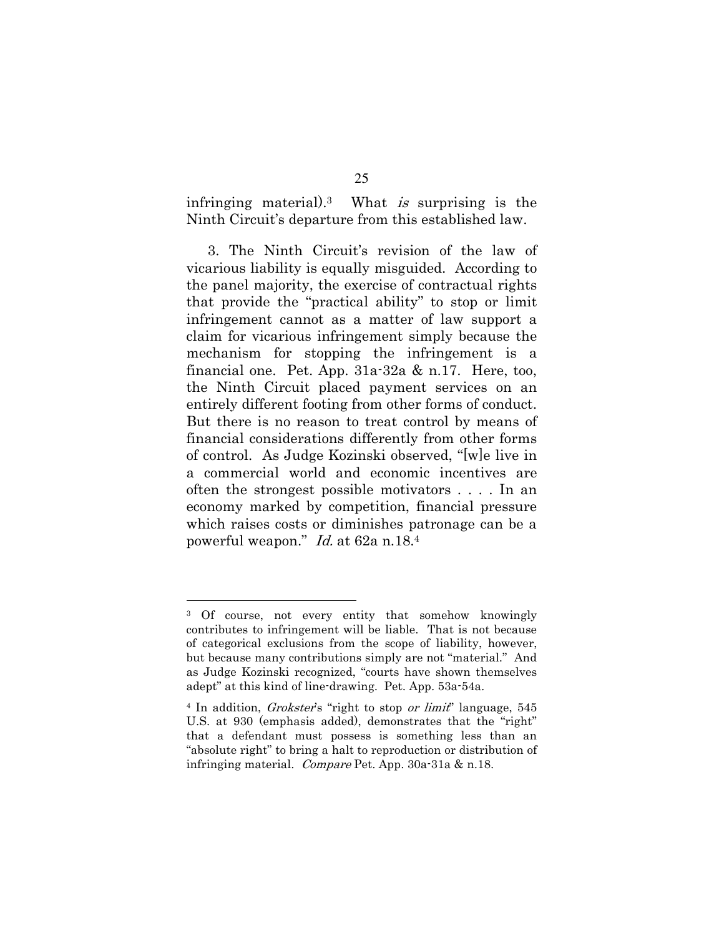infringing material).<sup>3</sup> What is surprising is the Ninth Circuit's departure from this established law.

3. The Ninth Circuit's revision of the law of vicarious liability is equally misguided. According to the panel majority, the exercise of contractual rights that provide the "practical ability" to stop or limit infringement cannot as a matter of law support a claim for vicarious infringement simply because the mechanism for stopping the infringement is a financial one. Pet. App.  $31a-32a$  & n.17. Here, too, the Ninth Circuit placed payment services on an entirely different footing from other forms of conduct. But there is no reason to treat control by means of financial considerations differently from other forms of control. As Judge Kozinski observed, "[w]e live in a commercial world and economic incentives are often the strongest possible motivators .... In an economy marked by competition, financial pressure which raises costs or diminishes patronage can be a powerful weapon." Id. at 62a n.18.4

<sup>&</sup>lt;sup>3</sup> Of course, not every entity that somehow knowingly contributes to infringement will be liable. That is not because of categorical exclusions from the scope of liability, however, but because many contributions simply are not "material." And as Judge Kozinski recognized, "courts have shown themselves adept" at this kind of line-drawing. Pet. App. 53a-54a.

<sup>&</sup>lt;sup>4</sup> In addition, *Grokster's* "right to stop or *limit*" language, 545 U.S. at 930 (emphasis added), demonstrates that the "right" that a defendant must possess is something less than an "absolute right" to bring a halt to reproduction or distribution of infringing material. Compare Pet. App. 30a-31a & n.18.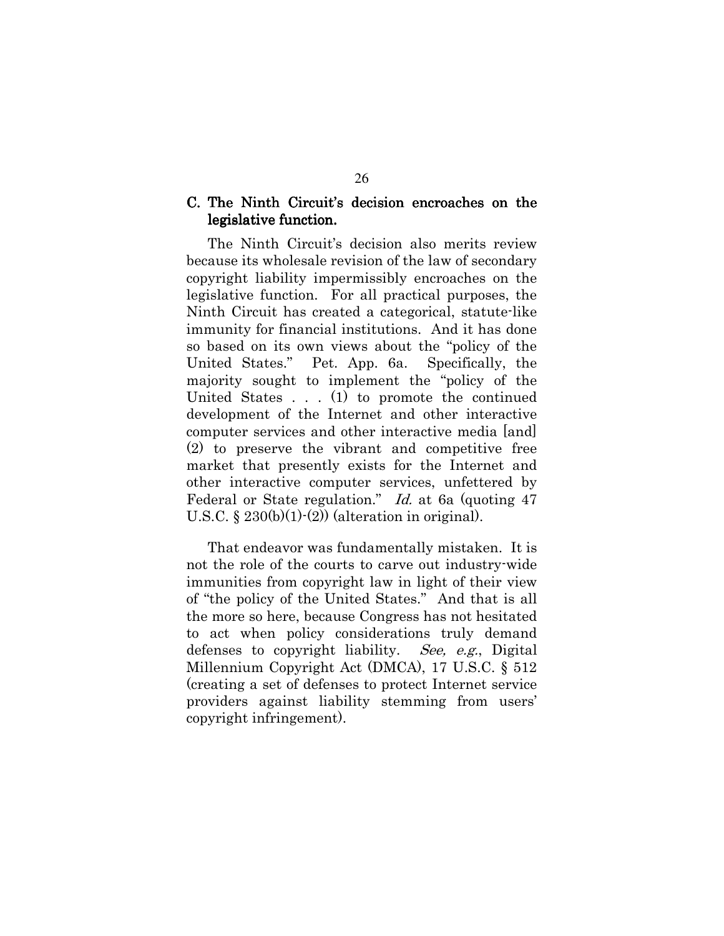### C. The Ninth Circuit's decision encroaches on the legislative function.

The Ninth Circuit's decision also merits review because its wholesale revision of the law of secondary copyright liability impermissibly encroaches on the legislative function. For all practical purposes, the Ninth Circuit has created a categorical, statute-like immunity for financial institutions. And it has done so based on its own views about the "policy of the United States." Pet. App. 6a. Specifically, the majority sought to implement the "policy of the United States  $\dots$  (1) to promote the continued development of the Internet and other interactive computer services and other interactive media [and] (2) to preserve the vibrant and competitive free market that presently exists for the Internet and other interactive computer services, unfettered by Federal or State regulation." Id. at 6a (quoting 47) U.S.C. §  $230(b)(1)-(2))$  (alteration in original).

That endeavor was fundamentally mistaken. It is not the role of the courts to carve out industry wide immunities from copyright law in light of their view of "the policy of the United States." And that is all the more so here, because Congress has not hesitated to act when policy considerations truly demand defenses to copyright liability. See, e.g., Digital Millennium Copyright Act (DMCA), 17 U.S.C. § 512 (creating a set of defenses to protect Internet service) providers against liability stemming from users' copyright infringement).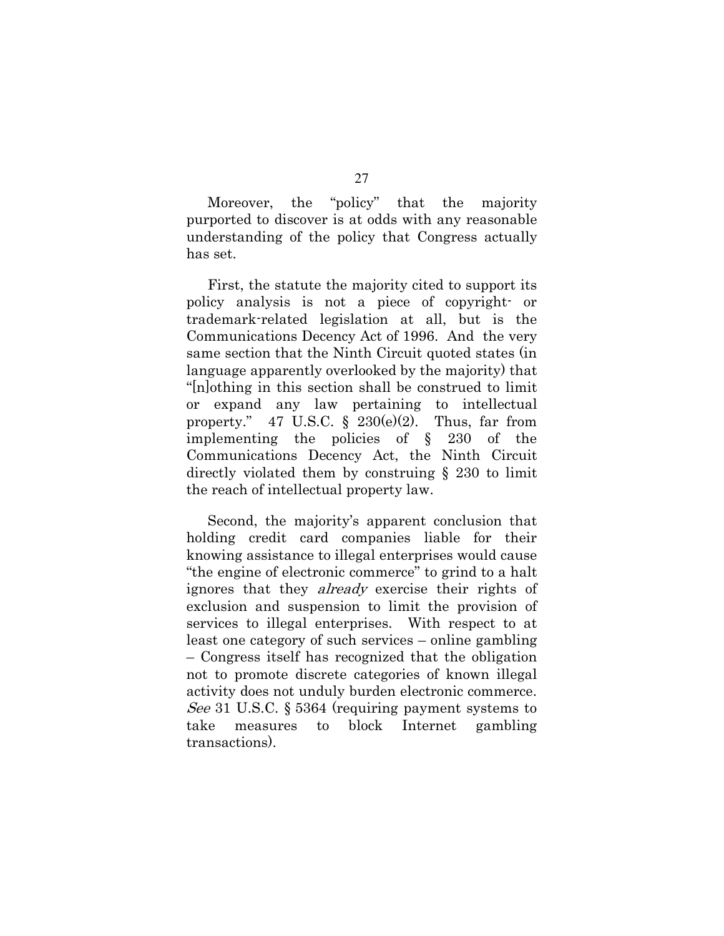"policy" that  $the$ Moreover. the majority purported to discover is at odds with any reasonable understanding of the policy that Congress actually has set.

First, the statute the majority cited to support its policy analysis is not a piece of copyright or trademark-related legislation at all, but is the Communications Decency Act of 1996. And the very same section that the Ninth Circuit quoted states (in language apparently overlooked by the majority) that "|n|othing in this section shall be construed to limit or expand any law pertaining to intellectual property." 47 U.S.C.  $\S$  230(e)(2). Thus, far from implementing the policies of  $\S$  230 of the Communications Decency Act, the Ninth Circuit directly violated them by construing  $\S$  230 to limit the reach of intellectual property law.

Second, the majority's apparent conclusion that holding credit card companies liable for their knowing assistance to illegal enterprises would cause "the engine of electronic commerce" to grind to a halt ignores that they *already* exercise their rights of exclusion and suspension to limit the provision of services to illegal enterprises. With respect to at least one category of such services – online gambling - Congress itself has recognized that the obligation not to promote discrete categories of known illegal activity does not unduly burden electronic commerce. *See* 31 U.S.C.  $\S 5364$  (requiring payment systems to block take measures to Internet gambling transactions).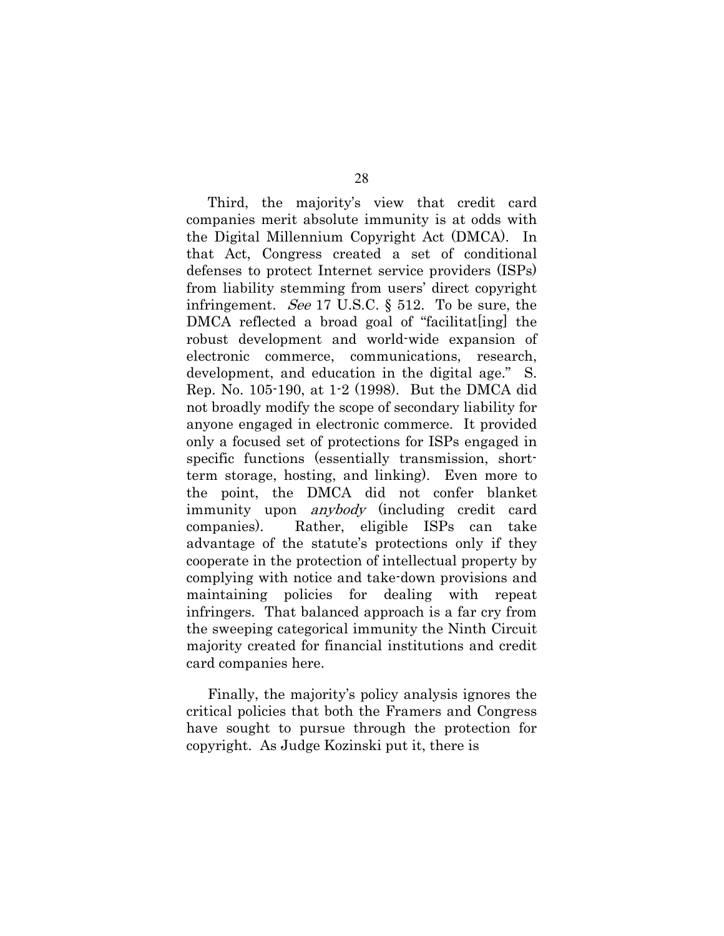Third, the majority's view that credit card companies merit absolute immunity is at odds with the Digital Millennium Copyright Act (DMCA). In that Act, Congress created a set of conditional defenses to protect Internet service providers (ISPs) from liability stemming from users' direct copyright infringement. See 17 U.S.C.  $\S$  512. To be sure, the DMCA reflected a broad goal of "facilitat ling the robust development and world-wide expansion of electronic commerce, communications, research, development, and education in the digital age." S. Rep. No. 105-190, at 1-2 (1998). But the DMCA did not broadly modify the scope of secondary liability for anyone engaged in electronic commerce. It provided only a focused set of protections for ISPs engaged in specific functions (essentially transmission, shortterm storage, hosting, and linking). Even more to the point, the DMCA did not confer blanket immunity upon *anybody* (including credit card companies). Rather, eligible ISPs can take advantage of the statute's protections only if they cooperate in the protection of intellectual property by complying with notice and take-down provisions and maintaining policies for dealing with repeat infringers. That balanced approach is a far cry from the sweeping categorical immunity the Ninth Circuit majority created for financial institutions and credit card companies here.

Finally, the majority's policy analysis ignores the critical policies that both the Framers and Congress have sought to pursue through the protection for copyright. As Judge Kozinski put it, there is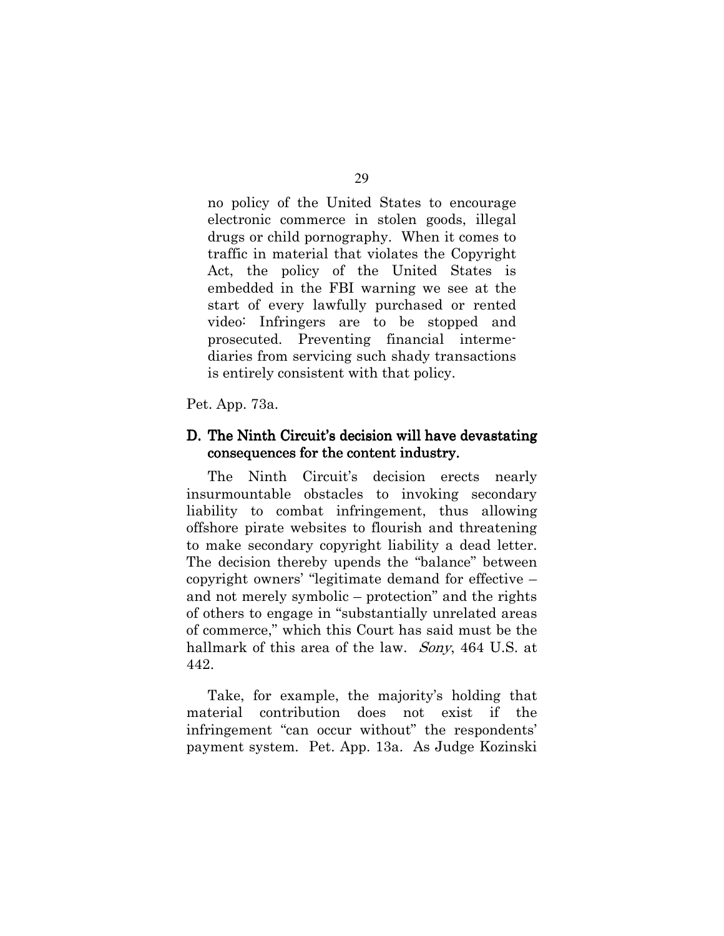no policy of the United States to encourage electronic commerce in stolen goods, illegal drugs or child pornography. When it comes to traffic in material that violates the Copyright Act, the policy of the United States is embedded in the FBI warning we see at the start of every lawfully purchased or rented video: Infringers are to be stopped and prosecuted. Preventing financial intermediaries from servicing such shady transactions is entirely consistent with that policy.

Pet. App. 73a.

#### D. The Ninth Circuit's decision will have devastating consequences for the content industry.

The Ninth Circuit's decision erects nearly insurmountable obstacles to invoking secondary liability to combat infringement, thus allowing offshore pirate websites to flourish and threatening to make secondary copyright liability a dead letter. The decision thereby upends the "balance" between copyright owners' "legitimate demand for effective – and not merely symbolic – protection" and the rights of others to engage in "substantially unrelated areas of commerce," which this Court has said must be the hallmark of this area of the law. Sony, 464 U.S. at 442.

Take, for example, the majority's holding that material contribution does not exist if the infringement "can occur without" the respondents' payment system. Pet. App. 13a. As Judge Kozinski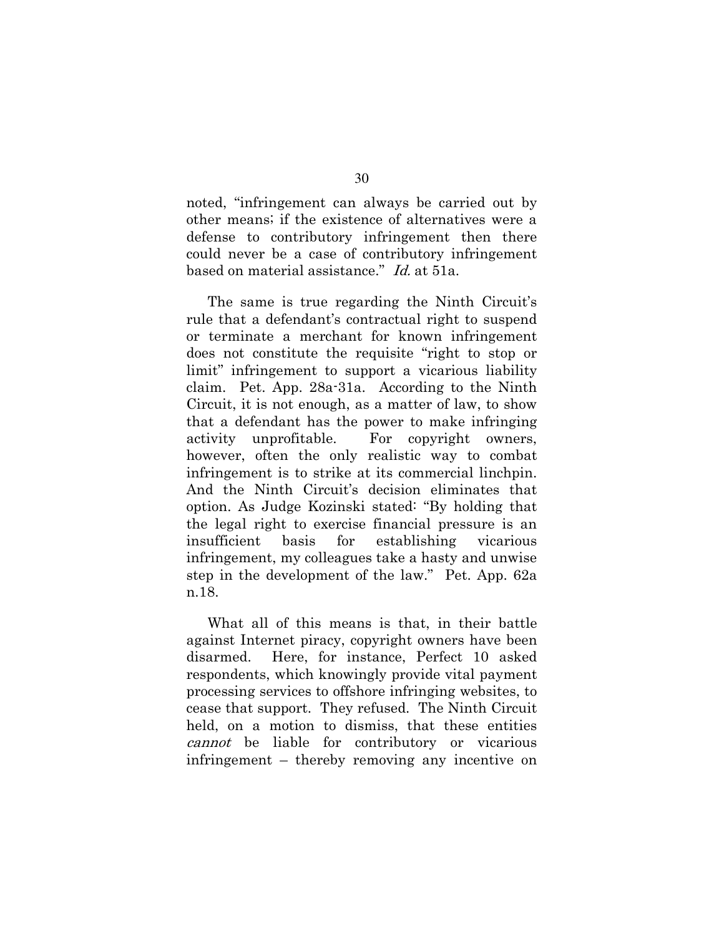noted, "infringement can always be carried out by other means; if the existence of alternatives were a defense to contributory infringement then there could never be a case of contributory infringement based on material assistance." *Id.* at 51a.

The same is true regarding the Ninth Circuit's rule that a defendant's contractual right to suspend or terminate a merchant for known infringement does not constitute the requisite "right to stop or limit" infringement to support a vicarious liability claim. Pet. App. 28a-31a. According to the Ninth Circuit, it is not enough, as a matter of law, to show that a defendant has the power to make infringing activity unprofitable. For copyright owners, however, often the only realistic way to combat infringement is to strike at its commercial linchpin. And the Ninth Circuit's decision eliminates that option. As Judge Kozinski stated: "By holding that the legal right to exercise financial pressure is an insufficient for establishing basis vicarious infringement, my colleagues take a hasty and unwise step in the development of the law." Pet. App. 62a n.18.

What all of this means is that, in their battle against Internet piracy, copyright owners have been Here, for instance, Perfect 10 asked disarmed. respondents, which knowingly provide vital payment processing services to offshore infringing websites, to cease that support. They refused. The Ninth Circuit held, on a motion to dismiss, that these entities cannot be liable for contributory or vicarious infringement – thereby removing any incentive on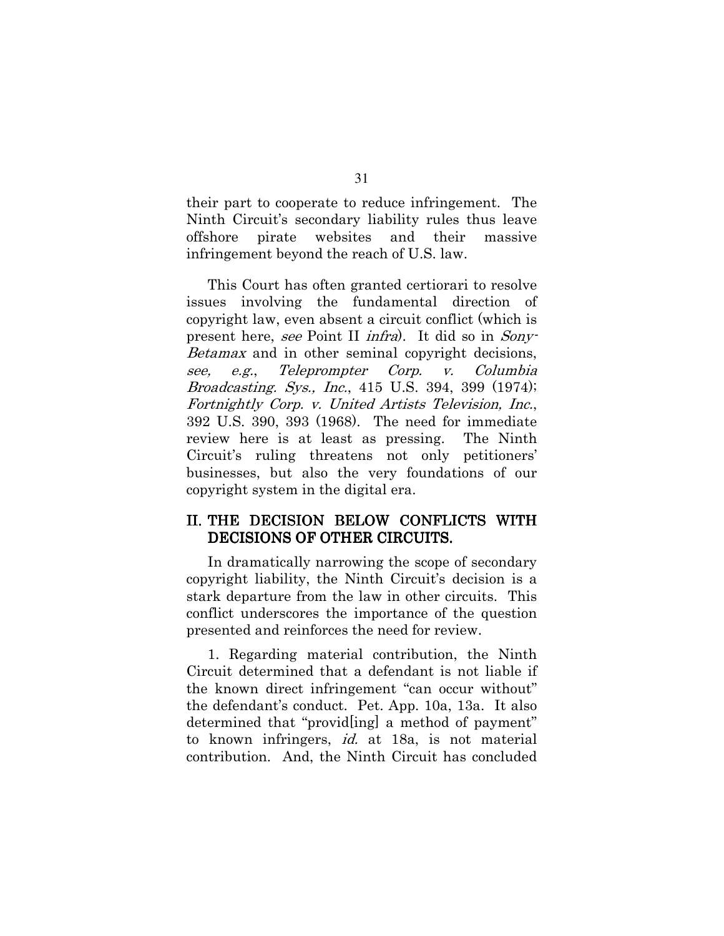their part to cooperate to reduce infringement. The Ninth Circuit's secondary liability rules thus leave offshore pirate websites and their massive infringement beyond the reach of U.S. law.

This Court has often granted certiorari to resolve issues involving the fundamental direction of copyright law, even absent a circuit conflict (which is present here, see Point II *infra*). It did so in *Sony Betamax* and in other seminal copyright decisions, Corp. Columbia see.  $e.g.,$ Teleprompter V. *Broadcasting. Sys., Inc.*, 415 U.S. 394, 399 (1974); Fortnightly Corp. v. United Artists Television, Inc., 392 U.S. 390, 393 (1968). The need for immediate review here is at least as pressing. The Ninth Circuit's ruling threatens not only petitioners' businesses, but also the very foundations of our copyright system in the digital era.

## II. THE DECISION BELOW CONFLICTS WITH DECISIONS OF OTHER CIRCUITS.

In dramatically narrowing the scope of secondary copyright liability, the Ninth Circuit's decision is a stark departure from the law in other circuits. This conflict underscores the importance of the question presented and reinforces the need for review.

1. Regarding material contribution, the Ninth Circuit determined that a defendant is not liable if the known direct infringement "can occur without" the defendant's conduct. Pet. App. 10a, 13a. It also determined that "provid[ing] a method of payment" to known infringers, *id.* at 18a, is not material contribution. And, the Ninth Circuit has concluded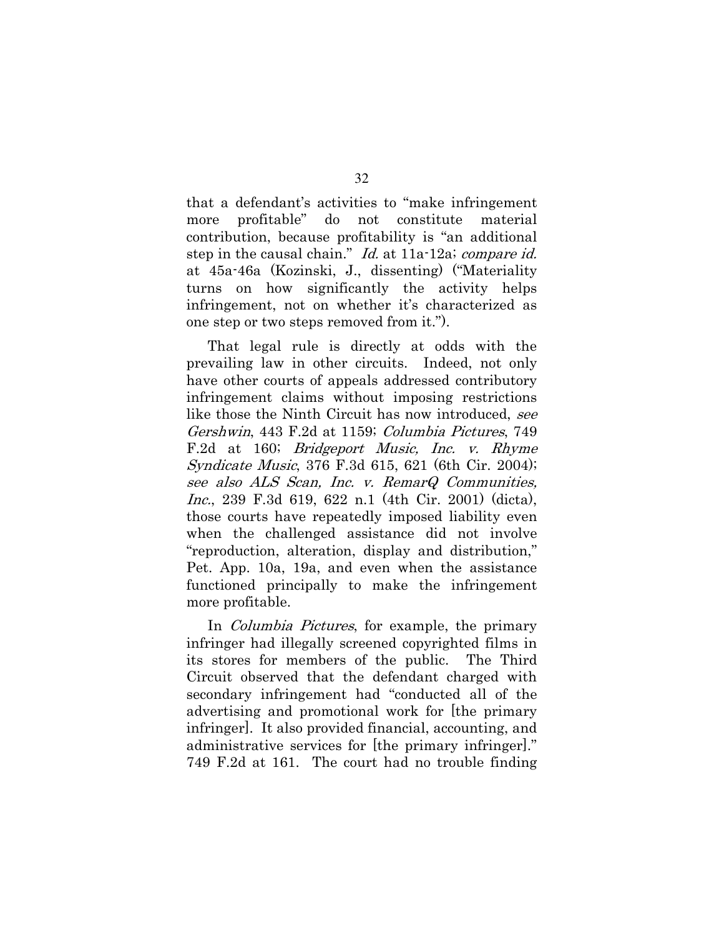that a defendant's activities to "make infringement" material more profitable" do not constitute contribution, because profitability is "an additional step in the causal chain." Id. at 11a-12a; compare id. at 45a-46a (Kozinski, J., dissenting) ("Materiality turns on how significantly the activity helps infringement, not on whether it's characterized as one step or two steps removed from it.").

That legal rule is directly at odds with the prevailing law in other circuits. Indeed, not only have other courts of appeals addressed contributory infringement claims without imposing restrictions like those the Ninth Circuit has now introduced, see *Gershwin*, 443 F.2d at 1159; *Columbia Pictures*, 749 F.2d at 160; *Bridgeport Music*, *Inc. v. Rhyme Syndicate Music*, 376 F.3d 615, 621 (6th Cir. 2004); see also ALS Scan, Inc. v. RemarQ Communities, *Inc.*, 239 F.3d 619, 622 n.1 (4th Cir. 2001) (dicta), those courts have repeatedly imposed liability even when the challenged assistance did not involve "reproduction, alteration, display and distribution," Pet. App. 10a, 19a, and even when the assistance functioned principally to make the infringement more profitable.

In *Columbia Pictures*, for example, the primary infringer had illegally screened copyrighted films in its stores for members of the public. The Third Circuit observed that the defendant charged with secondary infringement had "conducted all of the advertising and promotional work for the primary infringer. It also provided financial, accounting, and administrative services for the primary infringer. 749 F.2d at 161. The court had no trouble finding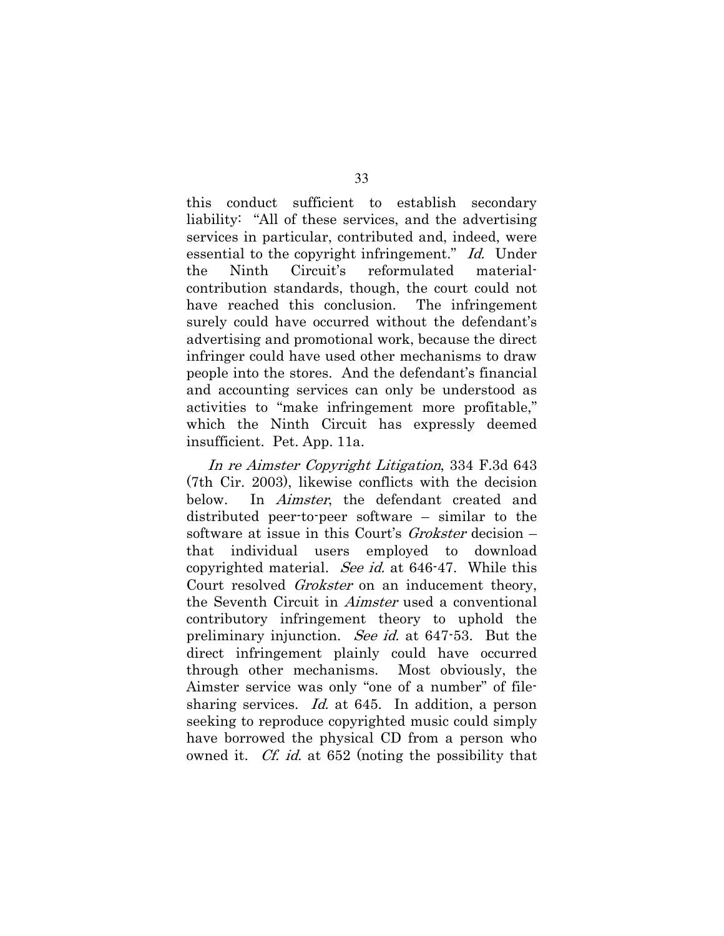this conduct sufficient to establish secondary liability: "All of these services, and the advertising services in particular, contributed and, indeed, were essential to the copyright infringement." Id. Under the Ninth Circuit's reformulated materialcontribution standards, though, the court could not have reached this conclusion. The infringement surely could have occurred without the defendant's advertising and promotional work, because the direct infringer could have used other mechanisms to draw people into the stores. And the defendant's financial and accounting services can only be understood as activities to "make infringement more profitable," which the Ninth Circuit has expressly deemed insufficient. Pet. App. 11a.

In re Aimster Copyright Litigation, 334 F.3d 643 (7th Cir. 2003), likewise conflicts with the decision below. In *Aimster*, the defendant created and distributed peer-to-peer software – similar to the software at issue in this Court's *Grokster* decision – that individual users employed  $\mathbf{t}$ download copyrighted material. See id. at 646-47. While this Court resolved *Grokster* on an inducement theory, the Seventh Circuit in *Aimster* used a conventional contributory infringement theory to uphold the preliminary injunction. See id. at 647-53. But the direct infringement plainly could have occurred through other mechanisms. Most obviously, the Aimster service was only "one of a number" of filesharing services. *Id.* at 645. In addition, a person seeking to reproduce copyrighted music could simply have borrowed the physical CD from a person who owned it. *Cf. id.* at 652 (noting the possibility that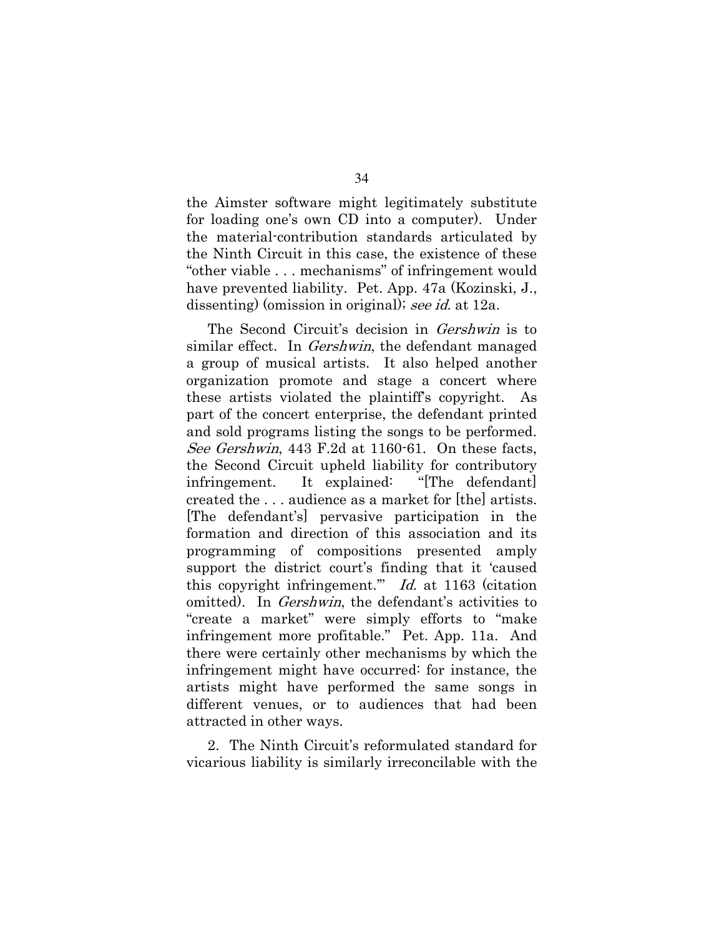the Aimster software might legitimately substitute for loading one's own CD into a computer). Under the material contribution standards articulated by the Ninth Circuit in this case, the existence of these "other viable . . . mechanisms" of infringement would have prevented liability. Pet. App. 47a (Kozinski, J., dissenting) (omission in original); see id. at 12a.

The Second Circuit's decision in *Gershwin* is to similar effect. In *Gershwin*, the defendant managed a group of musical artists. It also helped another organization promote and stage a concert where these artists violated the plaintiff's copyright. As part of the concert enterprise, the defendant printed and sold programs listing the songs to be performed. See Gershwin, 443 F.2d at 1160-61. On these facts, the Second Circuit upheld liability for contributory infringement. It explained: "The defendant created the ... audience as a market for [the] artists. The defendant's pervasive participation in the formation and direction of this association and its programming of compositions presented amply support the district court's finding that it 'caused this copyright infringement." Id. at 1163 (citation omitted). In *Gershwin*, the defendant's activities to "create a market" were simply efforts to "make" infringement more profitable." Pet. App. 11a. And there were certainly other mechanisms by which the infringement might have occurred: for instance, the artists might have performed the same songs in different venues, or to audiences that had been attracted in other ways.

2. The Ninth Circuit's reformulated standard for vicarious liability is similarly irreconcilable with the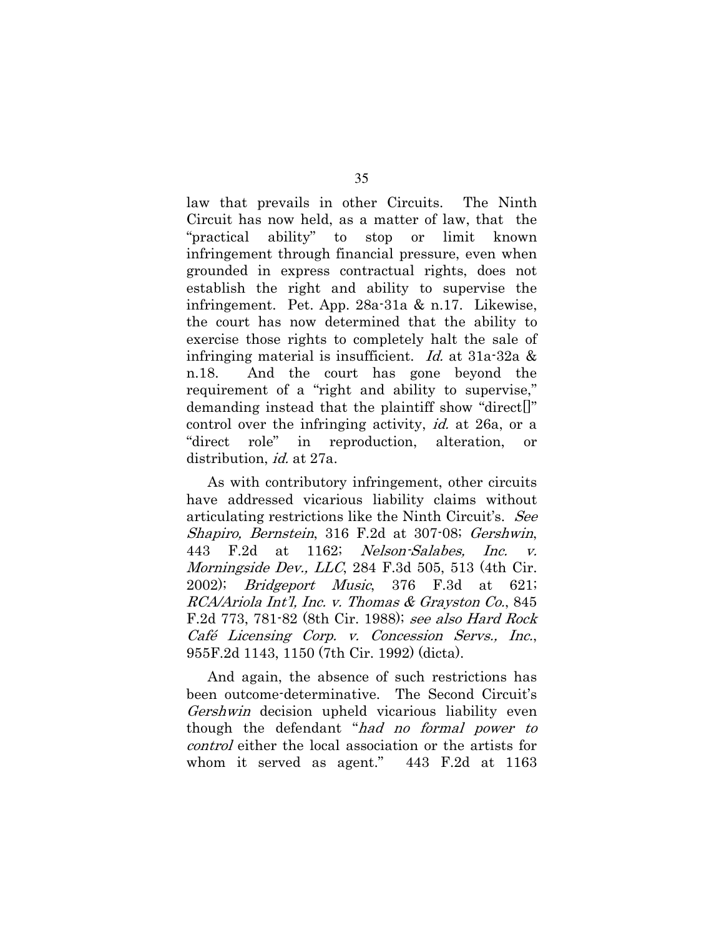law that prevails in other Circuits. The Ninth Circuit has now held, as a matter of law, that the ability" to "practical stop or limit known infringement through financial pressure, even when grounded in express contractual rights, does not establish the right and ability to supervise the infringement. Pet. App. 28a-31a & n.17. Likewise, the court has now determined that the ability to exercise those rights to completely halt the sale of infringing material is insufficient. *Id.* at  $31a-32a \&$ And the court has gone beyond the n.18. requirement of a "right and ability to supervise," demanding instead that the plaintiff show "direct. control over the infringing activity, *id.* at 26a, or a "direct role" in reproduction, alteration,  $or$ distribution, *id.* at 27a.

As with contributory infringement, other circuits have addressed vicarious liability claims without articulating restrictions like the Ninth Circuit's. See Shapiro, Bernstein, 316 F.2d at 307-08; Gershwin, Nelson-Salabes, 443 F.2d at 1162; Inc.  $\overline{V}$ *Morningside Dev., LLC*, 284 F.3d 505, 513 (4th Cir. 2002); *Bridgeport Music*, 376 F.3d at 621; RCA/Ariola Int'l, Inc. v. Thomas & Grayston Co., 845 F.2d 773, 781-82 (8th Cir. 1988); see also Hard Rock Café Licensing Corp. v. Concession Servs., Inc., 955F.2d 1143, 1150 (7th Cir. 1992) (dicta).

And again, the absence of such restrictions has been outcome-determinative. The Second Circuit's *Gershwin* decision upheld vicarious liability even though the defendant "had no formal power to *control* either the local association or the artists for whom it served as agent." 443 F.2d at 1163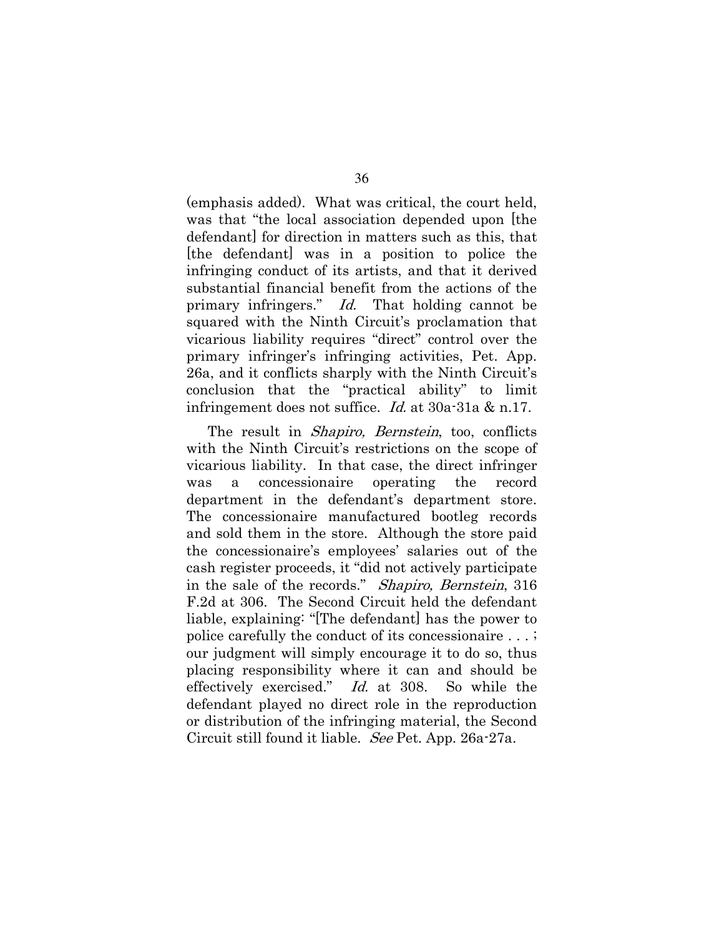(emphasis added). What was critical, the court held, was that "the local association depended upon the defendant for direction in matters such as this, that the defendant was in a position to police the infringing conduct of its artists, and that it derived substantial financial benefit from the actions of the primary infringers." Id. That holding cannot be squared with the Ninth Circuit's proclamation that vicarious liability requires "direct" control over the primary infringer's infringing activities, Pet. App. 26a, and it conflicts sharply with the Ninth Circuit's conclusion that the "practical ability" to limit infringement does not suffice. *Id.* at  $30a-31a \& n.17$ .

The result in *Shapiro*, *Bernstein*, too, conflicts with the Ninth Circuit's restrictions on the scope of vicarious liability. In that case, the direct infringer was a concessionaire operating the record department in the defendant's department store. The concessionaire manufactured bootleg records and sold them in the store. Although the store paid the concessionaire's employees' salaries out of the cash register proceeds, it "did not actively participate" in the sale of the records." Shapiro, Bernstein, 316 F.2d at 306. The Second Circuit held the defendant liable, explaining: "[The defendant] has the power to police carefully the conduct of its concessionaire . . . ; our judgment will simply encourage it to do so, thus placing responsibility where it can and should be effectively exercised." Id. at 308. So while the defendant played no direct role in the reproduction or distribution of the infringing material, the Second Circuit still found it liable. See Pet. App. 26a-27a.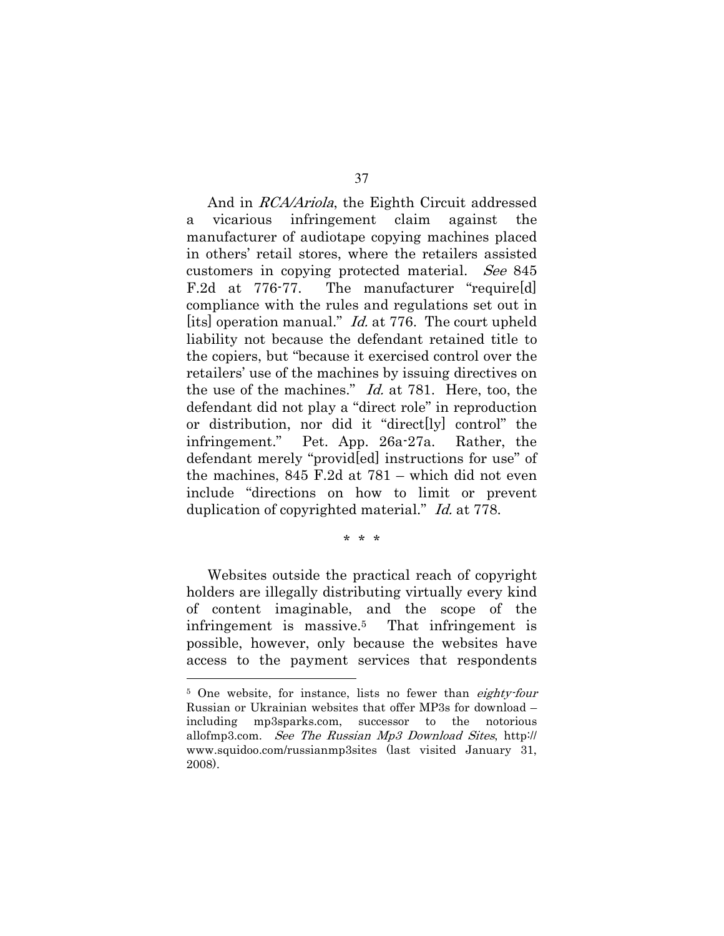And in *RCA/Ariola*, the Eighth Circuit addressed vicarious infringement claim against the  $\mathbf{a}$ manufacturer of audiotape copying machines placed in others' retail stores, where the retailers assisted customers in copying protected material. See 845  $F.2d$  at 776-77. The manufacturer "require[d] compliance with the rules and regulations set out in [its] operation manual." *Id.* at 776. The court upheld liability not because the defendant retained title to the copiers, but "because it exercised control over the retailers' use of the machines by issuing directives on the use of the machines." *Id.* at 781. Here, too, the defendant did not play a "direct role" in reproduction or distribution, nor did it "direct[ly] control" the infringement." Pet. App. 26a-27a. Rather, the defendant merely "providled instructions for use" of the machines,  $845$  F.2d at  $781$  – which did not even include "directions on how to limit or prevent duplication of copyrighted material." *Id.* at 778.

 $* * *$ 

Websites outside the practical reach of copyright holders are illegally distributing virtually every kind of content imaginable, and the scope of the infringement is massive.<sup>5</sup> That infringement is possible, however, only because the websites have access to the payment services that respondents

<sup>&</sup>lt;sup>5</sup> One website, for instance, lists no fewer than *eighty-four* Russian or Ukrainian websites that offer MP3s for download – including mp3sparks.com, successor to the notorious allofmp3.com. See The Russian Mp3 Download Sites, http:// www.squidoo.com/russianmp3sites (last visited January 31, 2008).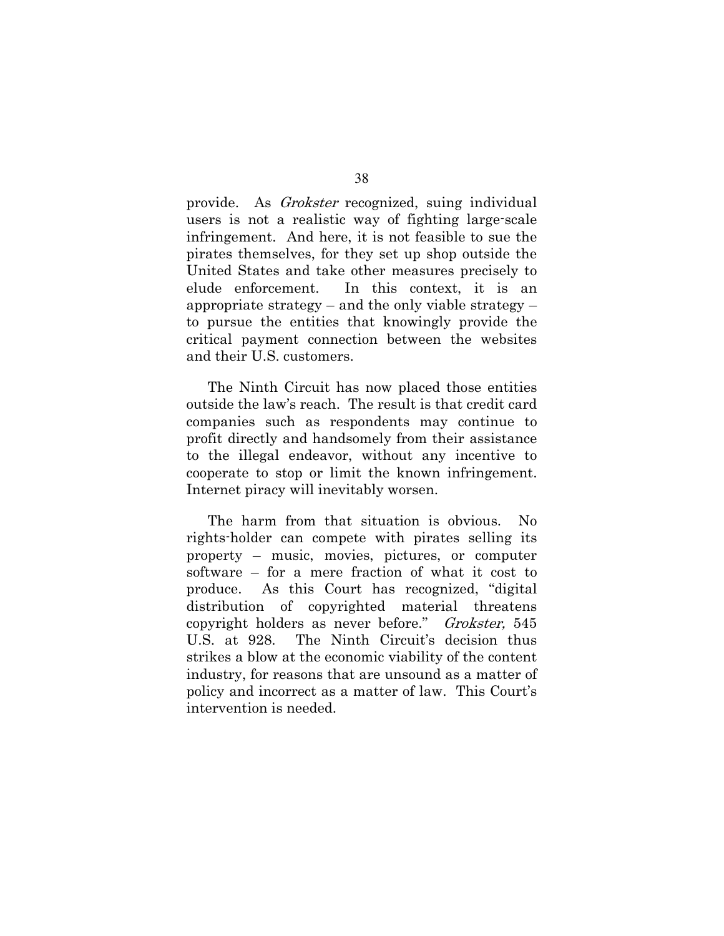provide. As *Grokster* recognized, suing individual users is not a realistic way of fighting large-scale infringement. And here, it is not feasible to sue the pirates themselves, for they set up shop outside the United States and take other measures precisely to elude enforcement. In this context, it is an appropriate strategy – and the only viable strategy – to pursue the entities that knowingly provide the critical payment connection between the websites and their U.S. customers.

The Ninth Circuit has now placed those entities outside the law's reach. The result is that credit card companies such as respondents may continue to profit directly and handsomely from their assistance to the illegal endeavor, without any incentive to cooperate to stop or limit the known infringement. Internet piracy will inevitably worsen.

The harm from that situation is obvious.  $\rm No$ rights-holder can compete with pirates selling its property – music, movies, pictures, or computer software – for a mere fraction of what it cost to produce. As this Court has recognized, "digital" distribution of copyrighted material threatens copyright holders as never before." Grokster, 545 U.S. at 928. The Ninth Circuit's decision thus strikes a blow at the economic viability of the content industry, for reasons that are unsound as a matter of policy and incorrect as a matter of law. This Court's intervention is needed.